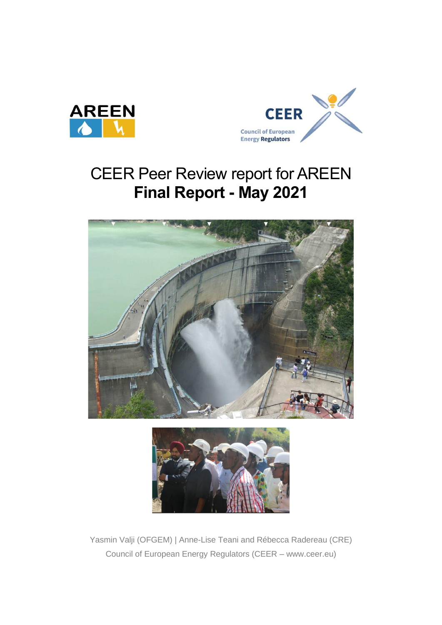



# CEER Peer Review report for AREEN **Final Report - May 2021**



Yasmin Valji (OFGEM) | Anne-Lise Teani and Rébecca Radereau (CRE) Council of European Energy Regulators (CEER – www.ceer.eu)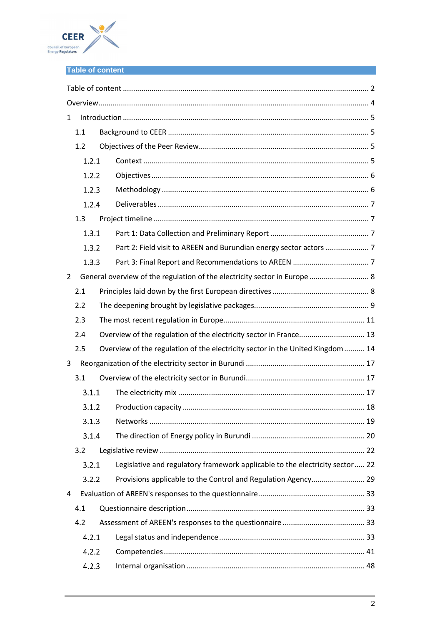

|  | <b>Table of content</b> |  |
|--|-------------------------|--|
|  |                         |  |

<span id="page-1-0"></span>

| 1 |       |                                                                               |  |
|---|-------|-------------------------------------------------------------------------------|--|
|   | 1.1   |                                                                               |  |
|   | 1.2   |                                                                               |  |
|   | 1.2.1 |                                                                               |  |
|   | 1.2.2 |                                                                               |  |
|   | 1.2.3 |                                                                               |  |
|   | 1.2.4 |                                                                               |  |
|   | 1.3   |                                                                               |  |
|   | 1.3.1 |                                                                               |  |
|   | 1.3.2 |                                                                               |  |
|   | 1.3.3 |                                                                               |  |
| 2 |       | General overview of the regulation of the electricity sector in Europe  8     |  |
|   | 2.1   |                                                                               |  |
|   | 2.2   |                                                                               |  |
|   | 2.3   |                                                                               |  |
|   | 2.4   | Overview of the regulation of the electricity sector in France 13             |  |
|   | 2.5   | Overview of the regulation of the electricity sector in the United Kingdom 14 |  |
| 3 |       |                                                                               |  |
|   | 3.1   |                                                                               |  |
|   | 3.1.1 |                                                                               |  |
|   | 3.1.2 |                                                                               |  |
|   | 3.1.3 |                                                                               |  |
|   | 3.1.4 |                                                                               |  |
|   | 3.2   |                                                                               |  |
|   | 3.2.1 | Legislative and regulatory framework applicable to the electricity sector 22  |  |
|   | 3.2.2 |                                                                               |  |
| 4 |       |                                                                               |  |
|   | 4.1   |                                                                               |  |
|   | 4.2   |                                                                               |  |
|   | 4.2.1 |                                                                               |  |
|   | 4.2.2 |                                                                               |  |
|   | 4.2.3 |                                                                               |  |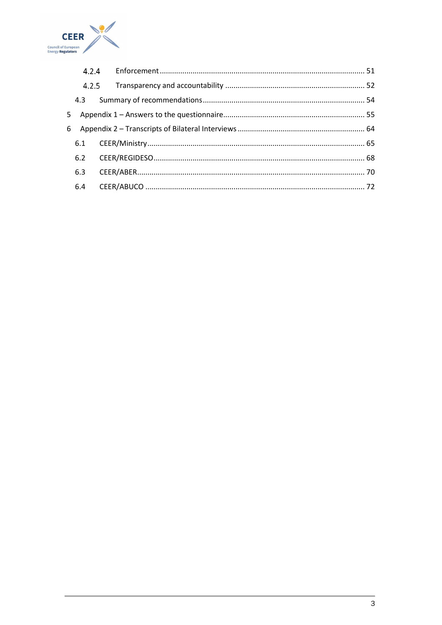

| 6.2 |  |
|-----|--|
| 6.3 |  |
| 6.4 |  |
|     |  |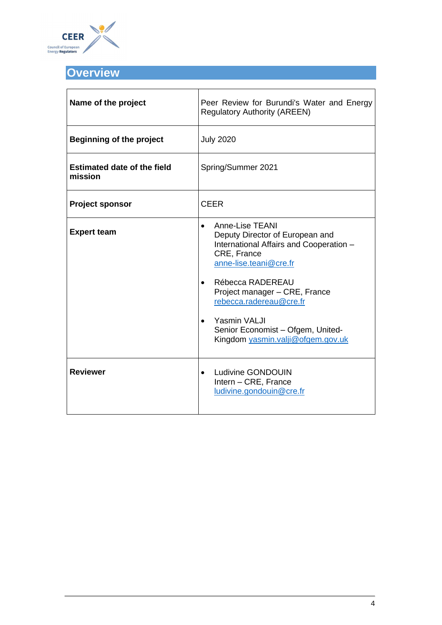

# <span id="page-3-0"></span>**Overview**

| Name of the project                           | Peer Review for Burundi's Water and Energy<br><b>Regulatory Authority (AREEN)</b>                                                                                                                                                                                                                                                    |  |  |  |  |
|-----------------------------------------------|--------------------------------------------------------------------------------------------------------------------------------------------------------------------------------------------------------------------------------------------------------------------------------------------------------------------------------------|--|--|--|--|
| Beginning of the project                      | <b>July 2020</b>                                                                                                                                                                                                                                                                                                                     |  |  |  |  |
| <b>Estimated date of the field</b><br>mission | Spring/Summer 2021                                                                                                                                                                                                                                                                                                                   |  |  |  |  |
| <b>Project sponsor</b>                        | <b>CEER</b>                                                                                                                                                                                                                                                                                                                          |  |  |  |  |
| <b>Expert team</b>                            | <b>Anne-Lise TEANI</b><br>$\bullet$<br>Deputy Director of European and<br>International Affairs and Cooperation -<br>CRE, France<br>anne-lise.teani@cre.fr<br>Rébecca RADEREAU<br>Project manager - CRE, France<br>rebecca.radereau@cre.fr<br>Yasmin VALJI<br>Senior Economist - Ofgem, United-<br>Kingdom yasmin.valji@ofgem.gov.uk |  |  |  |  |
| <b>Reviewer</b>                               | Ludivine GONDOUIN<br>$\bullet$<br>Intern - CRE, France<br>ludivine.gondouin@cre.fr                                                                                                                                                                                                                                                   |  |  |  |  |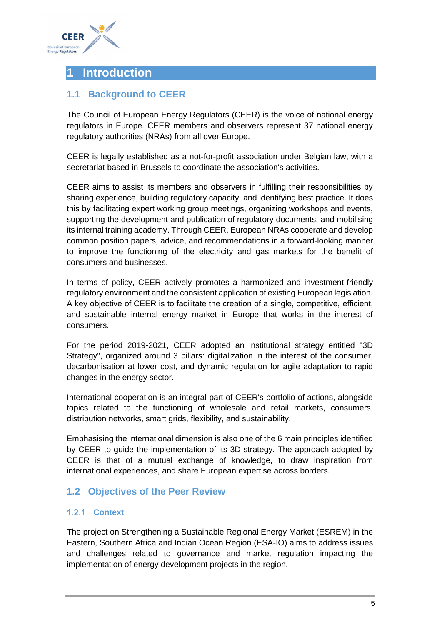

# <span id="page-4-0"></span>**1 Introduction**

# <span id="page-4-1"></span>**1.1 Background to CEER**

The Council of European Energy Regulators (CEER) is the voice of national energy regulators in Europe. CEER members and observers represent 37 national energy regulatory authorities (NRAs) from all over Europe.

CEER is legally established as a not-for-profit association under Belgian law, with a secretariat based in Brussels to coordinate the association's activities.

CEER aims to assist its members and observers in fulfilling their responsibilities by sharing experience, building regulatory capacity, and identifying best practice. It does this by facilitating expert working group meetings, organizing workshops and events, supporting the development and publication of regulatory documents, and mobilising its internal training academy. Through CEER, European NRAs cooperate and develop common position papers, advice, and recommendations in a forward-looking manner to improve the functioning of the electricity and gas markets for the benefit of consumers and businesses.

In terms of policy, CEER actively promotes a harmonized and investment-friendly regulatory environment and the consistent application of existing European legislation. A key objective of CEER is to facilitate the creation of a single, competitive, efficient, and sustainable internal energy market in Europe that works in the interest of consumers.

For the period 2019-2021, CEER adopted an institutional strategy entitled "3D Strategy", organized around 3 pillars: digitalization in the interest of the consumer, decarbonisation at lower cost, and dynamic regulation for agile adaptation to rapid changes in the energy sector.

International cooperation is an integral part of CEER's portfolio of actions, alongside topics related to the functioning of wholesale and retail markets, consumers, distribution networks, smart grids, flexibility, and sustainability.

Emphasising the international dimension is also one of the 6 main principles identified by CEER to guide the implementation of its 3D strategy. The approach adopted by CEER is that of a mutual exchange of knowledge, to draw inspiration from international experiences, and share European expertise across borders.

## <span id="page-4-2"></span>**1.2 Objectives of the Peer Review**

#### <span id="page-4-3"></span>**1.2.1 Context**

The project on Strengthening a Sustainable Regional Energy Market (ESREM) in the Eastern, Southern Africa and Indian Ocean Region (ESA-IO) aims to address issues and challenges related to governance and market regulation impacting the implementation of energy development projects in the region.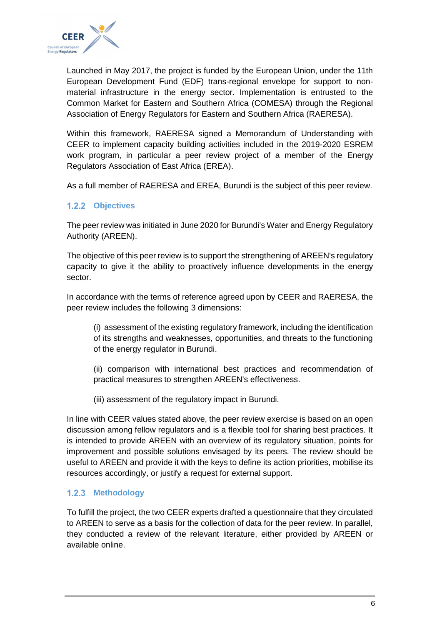

Launched in May 2017, the project is funded by the European Union, under the 11th European Development Fund (EDF) trans-regional envelope for support to nonmaterial infrastructure in the energy sector. Implementation is entrusted to the Common Market for Eastern and Southern Africa (COMESA) through the Regional Association of Energy Regulators for Eastern and Southern Africa (RAERESA).

Within this framework, RAERESA signed a Memorandum of Understanding with CEER to implement capacity building activities included in the 2019-2020 ESREM work program, in particular a peer review project of a member of the Energy Regulators Association of East Africa (EREA).

As a full member of RAERESA and EREA, Burundi is the subject of this peer review.

## <span id="page-5-0"></span>1.2.2 Objectives

The peer review was initiated in June 2020 for Burundi's Water and Energy Regulatory Authority (AREEN).

The objective of this peer review is to support the strengthening of AREEN's regulatory capacity to give it the ability to proactively influence developments in the energy sector.

In accordance with the terms of reference agreed upon by CEER and RAERESA, the peer review includes the following 3 dimensions:

(i) assessment of the existing regulatory framework, including the identification of its strengths and weaknesses, opportunities, and threats to the functioning of the energy regulator in Burundi.

(ii) comparison with international best practices and recommendation of practical measures to strengthen AREEN's effectiveness.

(iii) assessment of the regulatory impact in Burundi.

In line with CEER values stated above, the peer review exercise is based on an open discussion among fellow regulators and is a flexible tool for sharing best practices. It is intended to provide AREEN with an overview of its regulatory situation, points for improvement and possible solutions envisaged by its peers. The review should be useful to AREEN and provide it with the keys to define its action priorities, mobilise its resources accordingly, or justify a request for external support.

## <span id="page-5-1"></span>**1.2.3 Methodology**

To fulfill the project, the two CEER experts drafted a questionnaire that they circulated to AREEN to serve as a basis for the collection of data for the peer review. In parallel, they conducted a review of the relevant literature, either provided by AREEN or available online.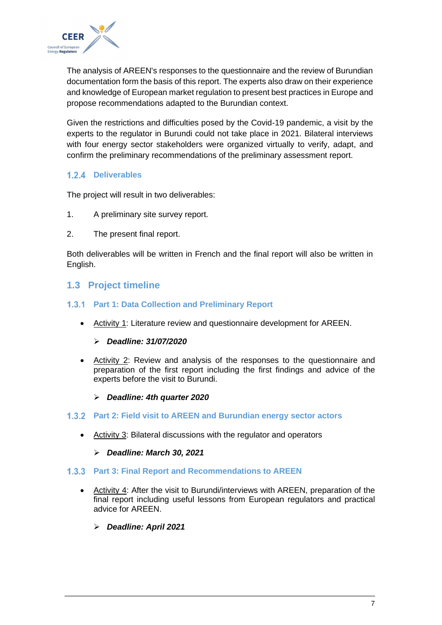

The analysis of AREEN's responses to the questionnaire and the review of Burundian documentation form the basis of this report. The experts also draw on their experience and knowledge of European market regulation to present best practices in Europe and propose recommendations adapted to the Burundian context.

Given the restrictions and difficulties posed by the Covid-19 pandemic, a visit by the experts to the regulator in Burundi could not take place in 2021. Bilateral interviews with four energy sector stakeholders were organized virtually to verify, adapt, and confirm the preliminary recommendations of the preliminary assessment report.

#### <span id="page-6-0"></span>**1.2.4 Deliverables**

The project will result in two deliverables:

- 1. A preliminary site survey report.
- 2. The present final report.

Both deliverables will be written in French and the final report will also be written in English.

### <span id="page-6-1"></span>**1.3 Project timeline**

- <span id="page-6-2"></span>**Part 1: Data Collection and Preliminary Report**
	- Activity 1: Literature review and questionnaire development for AREEN.

#### ➢ *Deadline: 31/07/2020*

- Activity 2: Review and analysis of the responses to the questionnaire and preparation of the first report including the first findings and advice of the experts before the visit to Burundi.
	- ➢ *Deadline: 4th quarter 2020*
- <span id="page-6-3"></span>**Part 2: Field visit to AREEN and Burundian energy sector actors**
	- Activity 3: Bilateral discussions with the regulator and operators
		- ➢ *Deadline: March 30, 2021*

#### <span id="page-6-4"></span>**Part 3: Final Report and Recommendations to AREEN**

- Activity 4: After the visit to Burundi/interviews with AREEN, preparation of the final report including useful lessons from European regulators and practical advice for AREEN.
	- ➢ *Deadline: April 2021*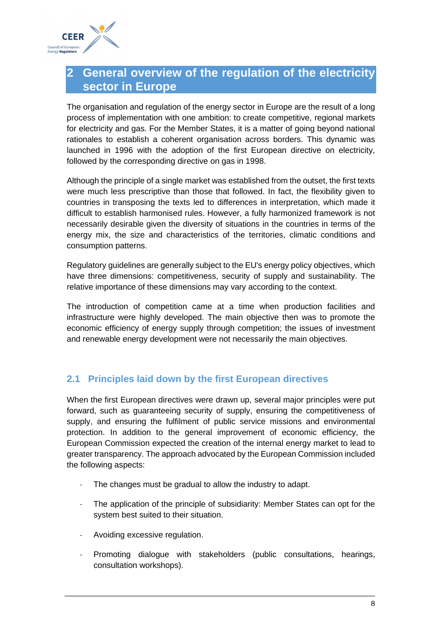

# <span id="page-7-0"></span>**2 General overview of the regulation of the electricity sector in Europe**

The organisation and regulation of the energy sector in Europe are the result of a long process of implementation with one ambition: to create competitive, regional markets for electricity and gas. For the Member States, it is a matter of going beyond national rationales to establish a coherent organisation across borders. This dynamic was launched in 1996 with the adoption of the first European directive on electricity, followed by the corresponding directive on gas in 1998.

Although the principle of a single market was established from the outset, the first texts were much less prescriptive than those that followed. In fact, the flexibility given to countries in transposing the texts led to differences in interpretation, which made it difficult to establish harmonised rules. However, a fully harmonized framework is not necessarily desirable given the diversity of situations in the countries in terms of the energy mix, the size and characteristics of the territories, climatic conditions and consumption patterns.

Regulatory guidelines are generally subject to the EU's energy policy objectives, which have three dimensions: competitiveness, security of supply and sustainability. The relative importance of these dimensions may vary according to the context.

The introduction of competition came at a time when production facilities and infrastructure were highly developed. The main objective then was to promote the economic efficiency of energy supply through competition; the issues of investment and renewable energy development were not necessarily the main objectives.

# <span id="page-7-1"></span>**2.1 Principles laid down by the first European directives**

When the first European directives were drawn up, several major principles were put forward, such as guaranteeing security of supply, ensuring the competitiveness of supply, and ensuring the fulfilment of public service missions and environmental protection. In addition to the general improvement of economic efficiency, the European Commission expected the creation of the internal energy market to lead to greater transparency. The approach advocated by the European Commission included the following aspects:

- The changes must be gradual to allow the industry to adapt.
- The application of the principle of subsidiarity: Member States can opt for the system best suited to their situation.
- Avoiding excessive regulation.
- Promoting dialogue with stakeholders (public consultations, hearings, consultation workshops).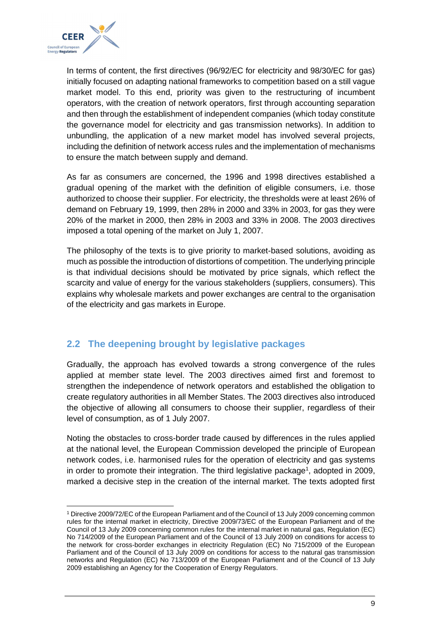

In terms of content, the first directives (96/92/EC for electricity and 98/30/EC for gas) initially focused on adapting national frameworks to competition based on a still vague market model. To this end, priority was given to the restructuring of incumbent operators, with the creation of network operators, first through accounting separation and then through the establishment of independent companies (which today constitute the governance model for electricity and gas transmission networks). In addition to unbundling, the application of a new market model has involved several projects, including the definition of network access rules and the implementation of mechanisms to ensure the match between supply and demand.

As far as consumers are concerned, the 1996 and 1998 directives established a gradual opening of the market with the definition of eligible consumers, i.e. those authorized to choose their supplier. For electricity, the thresholds were at least 26% of demand on February 19, 1999, then 28% in 2000 and 33% in 2003, for gas they were 20% of the market in 2000, then 28% in 2003 and 33% in 2008. The 2003 directives imposed a total opening of the market on July 1, 2007.

The philosophy of the texts is to give priority to market-based solutions, avoiding as much as possible the introduction of distortions of competition. The underlying principle is that individual decisions should be motivated by price signals, which reflect the scarcity and value of energy for the various stakeholders (suppliers, consumers). This explains why wholesale markets and power exchanges are central to the organisation of the electricity and gas markets in Europe.

# <span id="page-8-0"></span>**2.2 The deepening brought by legislative packages**

Gradually, the approach has evolved towards a strong convergence of the rules applied at member state level. The 2003 directives aimed first and foremost to strengthen the independence of network operators and established the obligation to create regulatory authorities in all Member States. The 2003 directives also introduced the objective of allowing all consumers to choose their supplier, regardless of their level of consumption, as of 1 July 2007.

Noting the obstacles to cross-border trade caused by differences in the rules applied at the national level, the European Commission developed the principle of European network codes, i.e. harmonised rules for the operation of electricity and gas systems in order to promote their integration. The third legislative package<sup>1</sup>, adopted in 2009, marked a decisive step in the creation of the internal market. The texts adopted first

<sup>1</sup> Directive 2009/72/EC of the European Parliament and of the Council of 13 July 2009 concerning common rules for the internal market in electricity, Directive 2009/73/EC of the European Parliament and of the Council of 13 July 2009 concerning common rules for the internal market in natural gas, Regulation (EC) No 714/2009 of the European Parliament and of the Council of 13 July 2009 on conditions for access to the network for cross-border exchanges in electricity Regulation (EC) No 715/2009 of the European Parliament and of the Council of 13 July 2009 on conditions for access to the natural gas transmission networks and Regulation (EC) No 713/2009 of the European Parliament and of the Council of 13 July 2009 establishing an Agency for the Cooperation of Energy Regulators.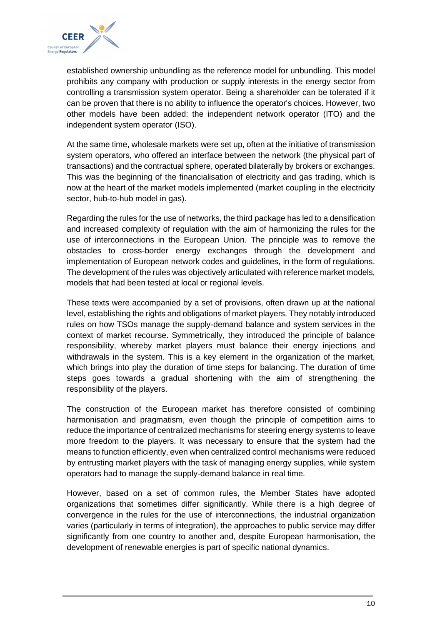

established ownership unbundling as the reference model for unbundling. This model prohibits any company with production or supply interests in the energy sector from controlling a transmission system operator. Being a shareholder can be tolerated if it can be proven that there is no ability to influence the operator's choices. However, two other models have been added: the independent network operator (ITO) and the independent system operator (ISO).

At the same time, wholesale markets were set up, often at the initiative of transmission system operators, who offered an interface between the network (the physical part of transactions) and the contractual sphere, operated bilaterally by brokers or exchanges. This was the beginning of the financialisation of electricity and gas trading, which is now at the heart of the market models implemented (market coupling in the electricity sector, hub-to-hub model in gas).

Regarding the rules for the use of networks, the third package has led to a densification and increased complexity of regulation with the aim of harmonizing the rules for the use of interconnections in the European Union. The principle was to remove the obstacles to cross-border energy exchanges through the development and implementation of European network codes and guidelines, in the form of regulations. The development of the rules was objectively articulated with reference market models, models that had been tested at local or regional levels.

These texts were accompanied by a set of provisions, often drawn up at the national level, establishing the rights and obligations of market players. They notably introduced rules on how TSOs manage the supply-demand balance and system services in the context of market recourse. Symmetrically, they introduced the principle of balance responsibility, whereby market players must balance their energy injections and withdrawals in the system. This is a key element in the organization of the market, which brings into play the duration of time steps for balancing. The duration of time steps goes towards a gradual shortening with the aim of strengthening the responsibility of the players.

The construction of the European market has therefore consisted of combining harmonisation and pragmatism, even though the principle of competition aims to reduce the importance of centralized mechanisms for steering energy systems to leave more freedom to the players. It was necessary to ensure that the system had the means to function efficiently, even when centralized control mechanisms were reduced by entrusting market players with the task of managing energy supplies, while system operators had to manage the supply-demand balance in real time.

However, based on a set of common rules, the Member States have adopted organizations that sometimes differ significantly. While there is a high degree of convergence in the rules for the use of interconnections, the industrial organization varies (particularly in terms of integration), the approaches to public service may differ significantly from one country to another and, despite European harmonisation, the development of renewable energies is part of specific national dynamics.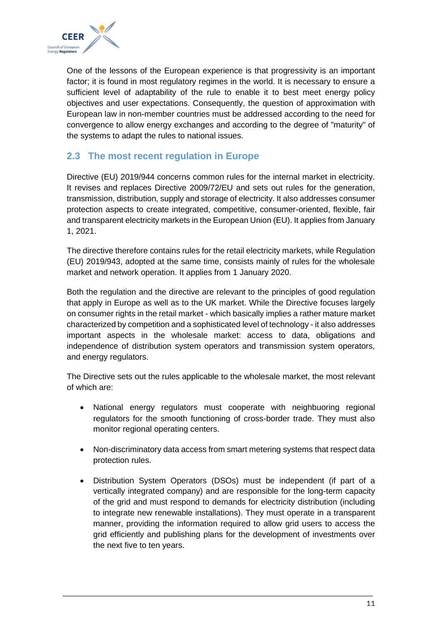

One of the lessons of the European experience is that progressivity is an important factor; it is found in most regulatory regimes in the world. It is necessary to ensure a sufficient level of adaptability of the rule to enable it to best meet energy policy objectives and user expectations. Consequently, the question of approximation with European law in non-member countries must be addressed according to the need for convergence to allow energy exchanges and according to the degree of "maturity" of the systems to adapt the rules to national issues.

# <span id="page-10-0"></span>**2.3 The most recent regulation in Europe**

Directive (EU) 2019/944 concerns common rules for the internal market in electricity. It revises and replaces Directive 2009/72/EU and sets out rules for the generation, transmission, distribution, supply and storage of electricity. It also addresses consumer protection aspects to create integrated, competitive, consumer-oriented, flexible, fair and transparent electricity markets in the European Union (EU). It applies from January 1, 2021.

The directive therefore contains rules for the retail electricity markets, while Regulation (EU) 2019/943, adopted at the same time, consists mainly of rules for the wholesale market and network operation. It applies from 1 January 2020.

Both the regulation and the directive are relevant to the principles of good regulation that apply in Europe as well as to the UK market. While the Directive focuses largely on consumer rights in the retail market - which basically implies a rather mature market characterized by competition and a sophisticated level of technology - it also addresses important aspects in the wholesale market: access to data, obligations and independence of distribution system operators and transmission system operators, and energy regulators.

The Directive sets out the rules applicable to the wholesale market, the most relevant of which are:

- National energy regulators must cooperate with neighbuoring regional regulators for the smooth functioning of cross-border trade. They must also monitor regional operating centers.
- Non-discriminatory data access from smart metering systems that respect data protection rules.
- Distribution System Operators (DSOs) must be independent (if part of a vertically integrated company) and are responsible for the long-term capacity of the grid and must respond to demands for electricity distribution (including to integrate new renewable installations). They must operate in a transparent manner, providing the information required to allow grid users to access the grid efficiently and publishing plans for the development of investments over the next five to ten years.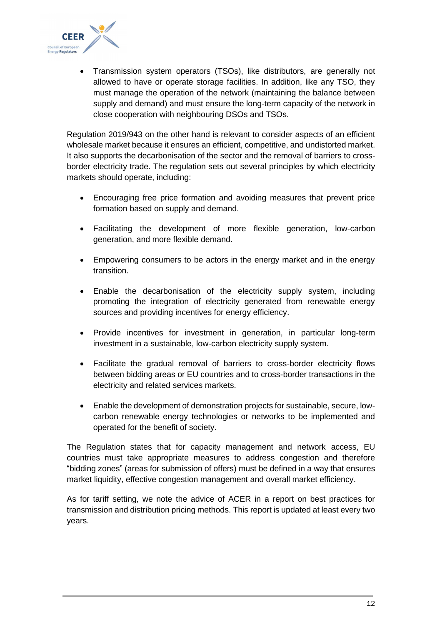

• Transmission system operators (TSOs), like distributors, are generally not allowed to have or operate storage facilities. In addition, like any TSO, they must manage the operation of the network (maintaining the balance between supply and demand) and must ensure the long-term capacity of the network in close cooperation with neighbouring DSOs and TSOs.

Regulation 2019/943 on the other hand is relevant to consider aspects of an efficient wholesale market because it ensures an efficient, competitive, and undistorted market. It also supports the decarbonisation of the sector and the removal of barriers to crossborder electricity trade. The regulation sets out several principles by which electricity markets should operate, including:

- Encouraging free price formation and avoiding measures that prevent price formation based on supply and demand.
- Facilitating the development of more flexible generation, low-carbon generation, and more flexible demand.
- Empowering consumers to be actors in the energy market and in the energy transition.
- Enable the decarbonisation of the electricity supply system, including promoting the integration of electricity generated from renewable energy sources and providing incentives for energy efficiency.
- Provide incentives for investment in generation, in particular long-term investment in a sustainable, low-carbon electricity supply system.
- Facilitate the gradual removal of barriers to cross-border electricity flows between bidding areas or EU countries and to cross-border transactions in the electricity and related services markets.
- Enable the development of demonstration projects for sustainable, secure, lowcarbon renewable energy technologies or networks to be implemented and operated for the benefit of society.

The Regulation states that for capacity management and network access, EU countries must take appropriate measures to address congestion and therefore "bidding zones" (areas for submission of offers) must be defined in a way that ensures market liquidity, effective congestion management and overall market efficiency.

As for tariff setting, we note the advice of ACER in a report on best practices for transmission and distribution pricing methods. This report is updated at least every two years.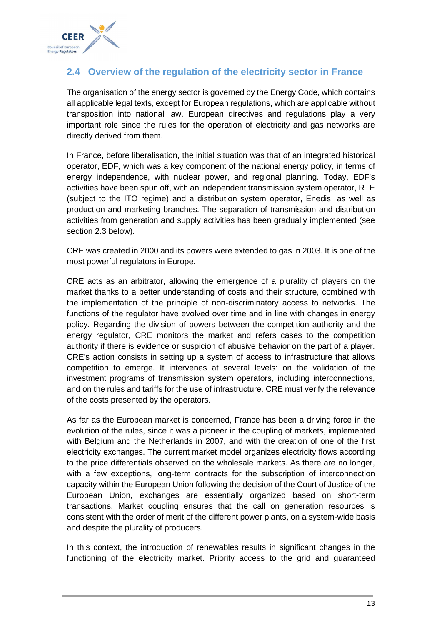

# <span id="page-12-0"></span>**2.4 Overview of the regulation of the electricity sector in France**

The organisation of the energy sector is governed by the Energy Code, which contains all applicable legal texts, except for European regulations, which are applicable without transposition into national law. European directives and regulations play a very important role since the rules for the operation of electricity and gas networks are directly derived from them.

In France, before liberalisation, the initial situation was that of an integrated historical operator, EDF, which was a key component of the national energy policy, in terms of energy independence, with nuclear power, and regional planning. Today, EDF's activities have been spun off, with an independent transmission system operator, RTE (subject to the ITO regime) and a distribution system operator, Enedis, as well as production and marketing branches. The separation of transmission and distribution activities from generation and supply activities has been gradually implemented (see section 2.3 below).

CRE was created in 2000 and its powers were extended to gas in 2003. It is one of the most powerful regulators in Europe.

CRE acts as an arbitrator, allowing the emergence of a plurality of players on the market thanks to a better understanding of costs and their structure, combined with the implementation of the principle of non-discriminatory access to networks. The functions of the regulator have evolved over time and in line with changes in energy policy. Regarding the division of powers between the competition authority and the energy regulator, CRE monitors the market and refers cases to the competition authority if there is evidence or suspicion of abusive behavior on the part of a player. CRE's action consists in setting up a system of access to infrastructure that allows competition to emerge. It intervenes at several levels: on the validation of the investment programs of transmission system operators, including interconnections, and on the rules and tariffs for the use of infrastructure. CRE must verify the relevance of the costs presented by the operators.

As far as the European market is concerned, France has been a driving force in the evolution of the rules, since it was a pioneer in the coupling of markets, implemented with Belgium and the Netherlands in 2007, and with the creation of one of the first electricity exchanges. The current market model organizes electricity flows according to the price differentials observed on the wholesale markets. As there are no longer, with a few exceptions, long-term contracts for the subscription of interconnection capacity within the European Union following the decision of the Court of Justice of the European Union, exchanges are essentially organized based on short-term transactions. Market coupling ensures that the call on generation resources is consistent with the order of merit of the different power plants, on a system-wide basis and despite the plurality of producers.

In this context, the introduction of renewables results in significant changes in the functioning of the electricity market. Priority access to the grid and guaranteed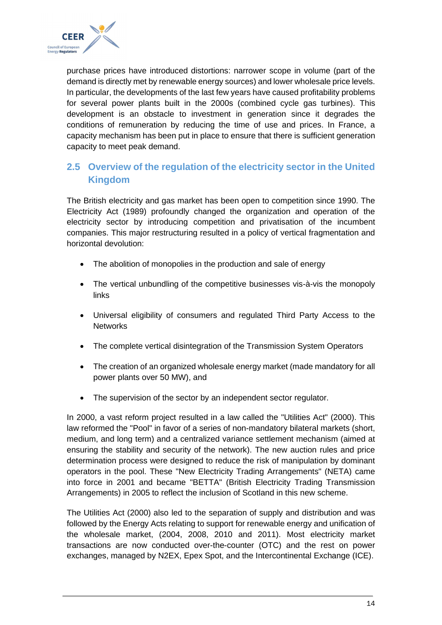

purchase prices have introduced distortions: narrower scope in volume (part of the demand is directly met by renewable energy sources) and lower wholesale price levels. In particular, the developments of the last few years have caused profitability problems for several power plants built in the 2000s (combined cycle gas turbines). This development is an obstacle to investment in generation since it degrades the conditions of remuneration by reducing the time of use and prices. In France, a capacity mechanism has been put in place to ensure that there is sufficient generation capacity to meet peak demand.

# <span id="page-13-0"></span>**2.5 Overview of the regulation of the electricity sector in the United Kingdom**

The British electricity and gas market has been open to competition since 1990. The Electricity Act (1989) profoundly changed the organization and operation of the electricity sector by introducing competition and privatisation of the incumbent companies. This major restructuring resulted in a policy of vertical fragmentation and horizontal devolution:

- The abolition of monopolies in the production and sale of energy
- The vertical unbundling of the competitive businesses vis-à-vis the monopoly links
- Universal eligibility of consumers and regulated Third Party Access to the **Networks**
- The complete vertical disintegration of the Transmission System Operators
- The creation of an organized wholesale energy market (made mandatory for all power plants over 50 MW), and
- The supervision of the sector by an independent sector regulator.

In 2000, a vast reform project resulted in a law called the "Utilities Act" (2000). This law reformed the "Pool" in favor of a series of non-mandatory bilateral markets (short, medium, and long term) and a centralized variance settlement mechanism (aimed at ensuring the stability and security of the network). The new auction rules and price determination process were designed to reduce the risk of manipulation by dominant operators in the pool. These "New Electricity Trading Arrangements" (NETA) came into force in 2001 and became "BETTA" (British Electricity Trading Transmission Arrangements) in 2005 to reflect the inclusion of Scotland in this new scheme.

The Utilities Act (2000) also led to the separation of supply and distribution and was followed by the Energy Acts relating to support for renewable energy and unification of the wholesale market, (2004, 2008, 2010 and 2011). Most electricity market transactions are now conducted over-the-counter (OTC) and the rest on power exchanges, managed by N2EX, Epex Spot, and the Intercontinental Exchange (ICE).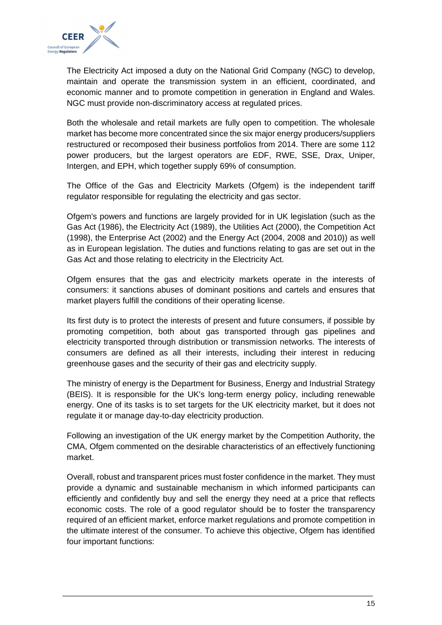

The Electricity Act imposed a duty on the National Grid Company (NGC) to develop, maintain and operate the transmission system in an efficient, coordinated, and economic manner and to promote competition in generation in England and Wales. NGC must provide non-discriminatory access at regulated prices.

Both the wholesale and retail markets are fully open to competition. The wholesale market has become more concentrated since the six major energy producers/suppliers restructured or recomposed their business portfolios from 2014. There are some 112 power producers, but the largest operators are EDF, RWE, SSE, Drax, Uniper, Intergen, and EPH, which together supply 69% of consumption.

The Office of the Gas and Electricity Markets (Ofgem) is the independent tariff regulator responsible for regulating the electricity and gas sector.

Ofgem's powers and functions are largely provided for in UK legislation (such as the Gas Act (1986), the Electricity Act (1989), the Utilities Act (2000), the Competition Act (1998), the Enterprise Act (2002) and the Energy Act (2004, 2008 and 2010)) as well as in European legislation. The duties and functions relating to gas are set out in the Gas Act and those relating to electricity in the Electricity Act.

Ofgem ensures that the gas and electricity markets operate in the interests of consumers: it sanctions abuses of dominant positions and cartels and ensures that market players fulfill the conditions of their operating license.

Its first duty is to protect the interests of present and future consumers, if possible by promoting competition, both about gas transported through gas pipelines and electricity transported through distribution or transmission networks. The interests of consumers are defined as all their interests, including their interest in reducing greenhouse gases and the security of their gas and electricity supply.

The ministry of energy is the Department for Business, Energy and Industrial Strategy (BEIS). It is responsible for the UK's long-term energy policy, including renewable energy. One of its tasks is to set targets for the UK electricity market, but it does not regulate it or manage day-to-day electricity production.

Following an investigation of the UK energy market by the Competition Authority, the CMA, Ofgem commented on the desirable characteristics of an effectively functioning market.

Overall, robust and transparent prices must foster confidence in the market. They must provide a dynamic and sustainable mechanism in which informed participants can efficiently and confidently buy and sell the energy they need at a price that reflects economic costs. The role of a good regulator should be to foster the transparency required of an efficient market, enforce market regulations and promote competition in the ultimate interest of the consumer. To achieve this objective, Ofgem has identified four important functions: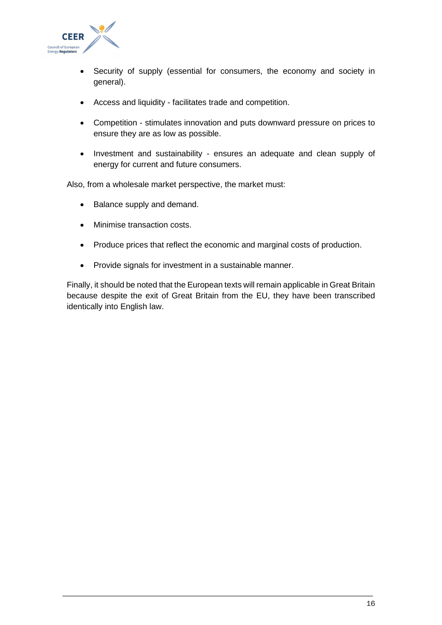

- Security of supply (essential for consumers, the economy and society in general).
- Access and liquidity facilitates trade and competition.
- Competition stimulates innovation and puts downward pressure on prices to ensure they are as low as possible.
- Investment and sustainability ensures an adequate and clean supply of energy for current and future consumers.

Also, from a wholesale market perspective, the market must:

- Balance supply and demand.
- Minimise transaction costs.
- Produce prices that reflect the economic and marginal costs of production.
- Provide signals for investment in a sustainable manner.

Finally, it should be noted that the European texts will remain applicable in Great Britain because despite the exit of Great Britain from the EU, they have been transcribed identically into English law.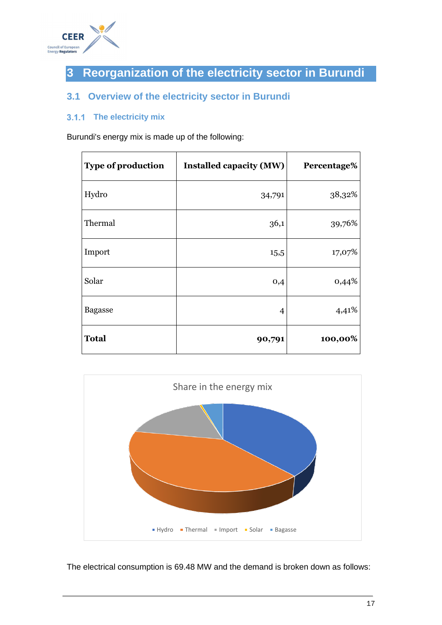

# <span id="page-16-0"></span>**3 Reorganization of the electricity sector in Burundi**

# <span id="page-16-1"></span>**3.1 Overview of the electricity sector in Burundi**

#### <span id="page-16-2"></span>**3.1.1 The electricity mix**

Burundi's energy mix is made up of the following:

| <b>Type of production</b> | <b>Installed capacity (MW)</b> | Percentage% |
|---------------------------|--------------------------------|-------------|
| Hydro                     | 34,791                         | 38,32%      |
| Thermal                   | 36,1                           | 39,76%      |
| Import                    | 15,5                           | 17,07%      |
| Solar                     | 0,4                            | 0,44%       |
| <b>Bagasse</b>            | 4                              | 4,41%       |
| <b>Total</b>              | 90,791                         | 100,00%     |



The electrical consumption is 69.48 MW and the demand is broken down as follows: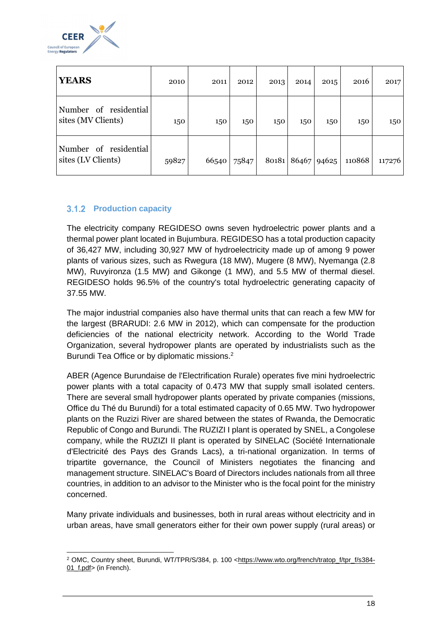

| <b>YEARS</b>                                | 2010  | 2011  | 2012  | 2013  | 2014 | 2015        | 2016   | 2017   |
|---------------------------------------------|-------|-------|-------|-------|------|-------------|--------|--------|
| Number of residential<br>sites (MV Clients) | 150   | 150   | 150   | 150   | 150  | 150         | 150    | 150    |
| Number of residential<br>sites (LV Clients) | 59827 | 66540 | 75847 | 80181 |      | 86467 94625 | 110868 | 117276 |

## <span id="page-17-0"></span>**3.1.2 Production capacity**

The electricity company REGIDESO owns seven hydroelectric power plants and a thermal power plant located in Bujumbura. REGIDESO has a total production capacity of 36,427 MW, including 30,927 MW of hydroelectricity made up of among 9 power plants of various sizes, such as Rwegura (18 MW), Mugere (8 MW), Nyemanga (2.8 MW), Ruvyironza (1.5 MW) and Gikonge (1 MW), and 5.5 MW of thermal diesel. REGIDESO holds 96.5% of the country's total hydroelectric generating capacity of 37.55 MW.

The major industrial companies also have thermal units that can reach a few MW for the largest (BRARUDI: 2.6 MW in 2012), which can compensate for the production deficiencies of the national electricity network. According to the World Trade Organization, several hydropower plants are operated by industrialists such as the Burundi Tea Office or by diplomatic missions.<sup>2</sup>

ABER (Agence Burundaise de l'Electrification Rurale) operates five mini hydroelectric power plants with a total capacity of 0.473 MW that supply small isolated centers. There are several small hydropower plants operated by private companies (missions, Office du Thé du Burundi) for a total estimated capacity of 0.65 MW. Two hydropower plants on the Ruzizi River are shared between the states of Rwanda, the Democratic Republic of Congo and Burundi. The RUZIZI I plant is operated by SNEL, a Congolese company, while the RUZIZI II plant is operated by SINELAC (Société Internationale d'Electricité des Pays des Grands Lacs), a tri-national organization. In terms of tripartite governance, the Council of Ministers negotiates the financing and management structure. SINELAC's Board of Directors includes nationals from all three countries, in addition to an advisor to the Minister who is the focal point for the ministry concerned.

Many private individuals and businesses, both in rural areas without electricity and in urban areas, have small generators either for their own power supply (rural areas) or

<sup>&</sup>lt;sup>2</sup> OMC, Country sheet, Burundi, WT/TPR/S/384, p. 100 [<https://www.wto.org/french/tratop\\_f/tpr\\_f/s384-](https://www.wto.org/french/tratop_f/tpr_f/s384-01_f.pdf) [01\\_f.pdf>](https://www.wto.org/french/tratop_f/tpr_f/s384-01_f.pdf) (in French).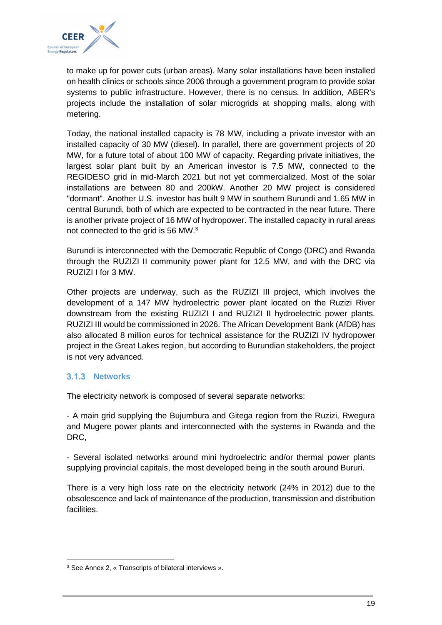

to make up for power cuts (urban areas). Many solar installations have been installed on health clinics or schools since 2006 through a government program to provide solar systems to public infrastructure. However, there is no census. In addition, ABER's projects include the installation of solar microgrids at shopping malls, along with metering.

Today, the national installed capacity is 78 MW, including a private investor with an installed capacity of 30 MW (diesel). In parallel, there are government projects of 20 MW, for a future total of about 100 MW of capacity. Regarding private initiatives, the largest solar plant built by an American investor is 7.5 MW, connected to the REGIDESO grid in mid-March 2021 but not yet commercialized. Most of the solar installations are between 80 and 200kW. Another 20 MW project is considered "dormant". Another U.S. investor has built 9 MW in southern Burundi and 1.65 MW in central Burundi, both of which are expected to be contracted in the near future. There is another private project of 16 MW of hydropower. The installed capacity in rural areas not connected to the grid is 56 MW.<sup>3</sup>

Burundi is interconnected with the Democratic Republic of Congo (DRC) and Rwanda through the RUZIZI II community power plant for 12.5 MW, and with the DRC via RUZIZI I for 3 MW.

Other projects are underway, such as the RUZIZI III project, which involves the development of a 147 MW hydroelectric power plant located on the Ruzizi River downstream from the existing RUZIZI I and RUZIZI II hydroelectric power plants. RUZIZI III would be commissioned in 2026. The African Development Bank (AfDB) has also allocated 8 million euros for technical assistance for the RUZIZI IV hydropower project in the Great Lakes region, but according to Burundian stakeholders, the project is not very advanced.

#### <span id="page-18-0"></span>**3.1.3 Networks**

The electricity network is composed of several separate networks:

- A main grid supplying the Bujumbura and Gitega region from the Ruzizi, Rwegura and Mugere power plants and interconnected with the systems in Rwanda and the DRC,

- Several isolated networks around mini hydroelectric and/or thermal power plants supplying provincial capitals, the most developed being in the south around Bururi.

There is a very high loss rate on the electricity network (24% in 2012) due to the obsolescence and lack of maintenance of the production, transmission and distribution facilities.

<sup>3</sup> See Annex 2, « Transcripts of bilateral interviews ».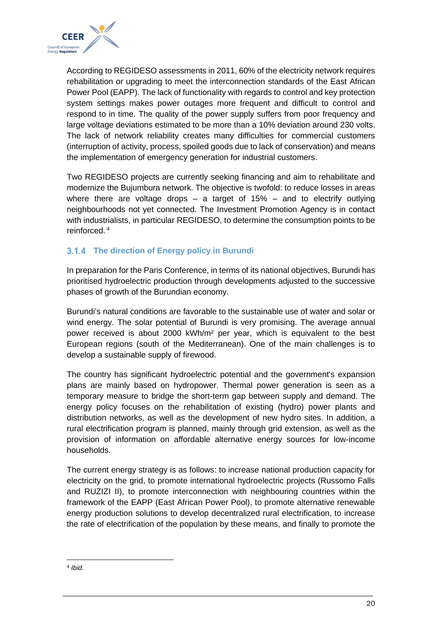

According to REGIDESO assessments in 2011, 60% of the electricity network requires rehabilitation or upgrading to meet the interconnection standards of the East African Power Pool (EAPP). The lack of functionality with regards to control and key protection system settings makes power outages more frequent and difficult to control and respond to in time. The quality of the power supply suffers from poor frequency and large voltage deviations estimated to be more than a 10% deviation around 230 volts. The lack of network reliability creates many difficulties for commercial customers (interruption of activity, process, spoiled goods due to lack of conservation) and means the implementation of emergency generation for industrial customers.

Two REGIDESO projects are currently seeking financing and aim to rehabilitate and modernize the Bujumbura network. The objective is twofold: to reduce losses in areas where there are voltage drops  $-$  a target of 15%  $-$  and to electrify outlying neighbourhoods not yet connected. The Investment Promotion Agency is in contact with industrialists, in particular REGIDESO, to determine the consumption points to be reinforced. <sup>4</sup>

### <span id="page-19-0"></span>**The direction of Energy policy in Burundi**

In preparation for the Paris Conference, in terms of its national objectives, Burundi has prioritised hydroelectric production through developments adjusted to the successive phases of growth of the Burundian economy.

Burundi's natural conditions are favorable to the sustainable use of water and solar or wind energy. The solar potential of Burundi is very promising. The average annual power received is about 2000 kWh/m² per year, which is equivalent to the best European regions (south of the Mediterranean). One of the main challenges is to develop a sustainable supply of firewood.

The country has significant hydroelectric potential and the government's expansion plans are mainly based on hydropower. Thermal power generation is seen as a temporary measure to bridge the short-term gap between supply and demand. The energy policy focuses on the rehabilitation of existing (hydro) power plants and distribution networks, as well as the development of new hydro sites. In addition, a rural electrification program is planned, mainly through grid extension, as well as the provision of information on affordable alternative energy sources for low-income households.

The current energy strategy is as follows: to increase national production capacity for electricity on the grid, to promote international hydroelectric projects (Russomo Falls and RUZIZI II), to promote interconnection with neighbouring countries within the framework of the EAPP (East African Power Pool), to promote alternative renewable energy production solutions to develop decentralized rural electrification, to increase the rate of electrification of the population by these means, and finally to promote the

<sup>4</sup> *Ibid.*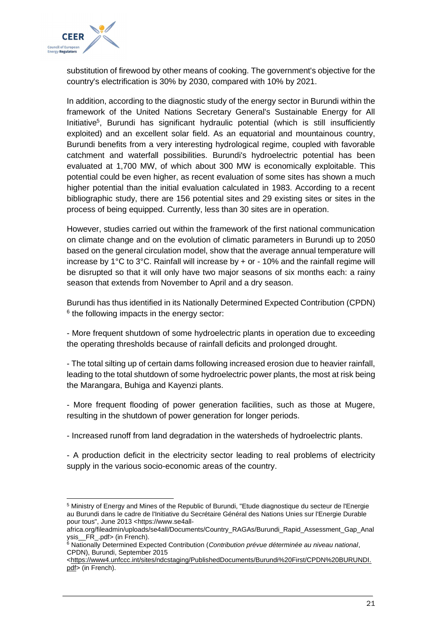

substitution of firewood by other means of cooking. The government's objective for the country's electrification is 30% by 2030, compared with 10% by 2021.

In addition, according to the diagnostic study of the energy sector in Burundi within the framework of the United Nations Secretary General's Sustainable Energy for All Initiative<sup>5</sup>, Burundi has significant hydraulic potential (which is still insufficiently exploited) and an excellent solar field. As an equatorial and mountainous country, Burundi benefits from a very interesting hydrological regime, coupled with favorable catchment and waterfall possibilities. Burundi's hydroelectric potential has been evaluated at 1,700 MW, of which about 300 MW is economically exploitable. This potential could be even higher, as recent evaluation of some sites has shown a much higher potential than the initial evaluation calculated in 1983. According to a recent bibliographic study, there are 156 potential sites and 29 existing sites or sites in the process of being equipped. Currently, less than 30 sites are in operation.

However, studies carried out within the framework of the first national communication on climate change and on the evolution of climatic parameters in Burundi up to 2050 based on the general circulation model, show that the average annual temperature will increase by 1°C to 3°C. Rainfall will increase by + or - 10% and the rainfall regime will be disrupted so that it will only have two major seasons of six months each: a rainy season that extends from November to April and a dry season.

Burundi has thus identified in its Nationally Determined Expected Contribution (CPDN) <sup>6</sup> the following impacts in the energy sector:

- More frequent shutdown of some hydroelectric plants in operation due to exceeding the operating thresholds because of rainfall deficits and prolonged drought.

- The total silting up of certain dams following increased erosion due to heavier rainfall, leading to the total shutdown of some hydroelectric power plants, the most at risk being the Marangara, Buhiga and Kayenzi plants.

- More frequent flooding of power generation facilities, such as those at Mugere, resulting in the shutdown of power generation for longer periods.

- Increased runoff from land degradation in the watersheds of hydroelectric plants.

- A production deficit in the electricity sector leading to real problems of electricity supply in the various socio-economic areas of the country.

<sup>5</sup> Ministry of Energy and Mines of the Republic of Burundi, "Etude diagnostique du secteur de l'Energie au Burundi dans le cadre de l'Initiative du Secrétaire Général des Nations Unies sur l'Energie Durable pour tous", June 2013 [<https://www.se4all-](https://www.se4all-africa.org/fileadmin/uploads/se4all/Documents/Country_RAGAs/Burundi_Rapid_Assessment_Gap_Analysis__FR_.pdf)

[africa.org/fileadmin/uploads/se4all/Documents/Country\\_RAGAs/Burundi\\_Rapid\\_Assessment\\_Gap\\_Anal](https://www.se4all-africa.org/fileadmin/uploads/se4all/Documents/Country_RAGAs/Burundi_Rapid_Assessment_Gap_Analysis__FR_.pdf) [ysis\\_\\_FR\\_.pdf>](https://www.se4all-africa.org/fileadmin/uploads/se4all/Documents/Country_RAGAs/Burundi_Rapid_Assessment_Gap_Analysis__FR_.pdf) (in French).

<sup>6</sup> Nationally Determined Expected Contribution (*Contribution prévue déterminée au niveau national*, CPDN), Burundi, September 2015

[<sup>&</sup>lt;https://www4.unfccc.int/sites/ndcstaging/PublishedDocuments/Burundi%20First/CPDN%20BURUNDI.](https://www4.unfccc.int/sites/ndcstaging/PublishedDocuments/Burundi%20First/CPDN%20BURUNDI.pdf) [pdf>](https://www4.unfccc.int/sites/ndcstaging/PublishedDocuments/Burundi%20First/CPDN%20BURUNDI.pdf) (in French).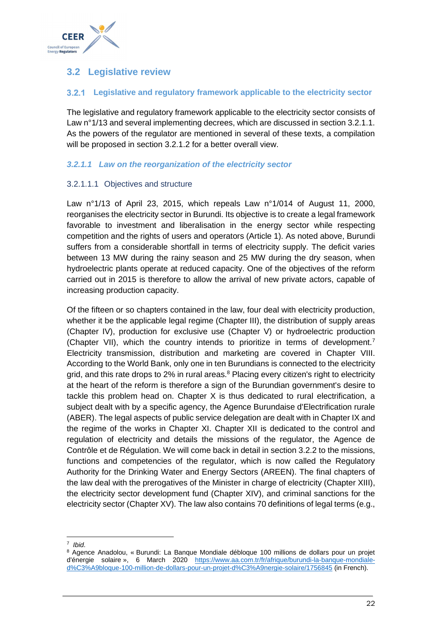

# <span id="page-21-0"></span>**3.2 Legislative review**

#### <span id="page-21-1"></span> $3.2.1$ **Legislative and regulatory framework applicable to the electricity sector**

The legislative and regulatory framework applicable to the electricity sector consists of Law n°1/13 and several implementing decrees, which are discussed in section 3.2.1.1. As the powers of the regulator are mentioned in several of these texts, a compilation will be proposed in section 3.2.1.2 for a better overall view.

#### *3.2.1.1 Law on the reorganization of the electricity sector*

#### 3.2.1.1.1 Objectives and structure

Law n°1/13 of April 23, 2015, which repeals Law n°1/014 of August 11, 2000, reorganises the electricity sector in Burundi. Its objective is to create a legal framework favorable to investment and liberalisation in the energy sector while respecting competition and the rights of users and operators (Article 1). As noted above, Burundi suffers from a considerable shortfall in terms of electricity supply. The deficit varies between 13 MW during the rainy season and 25 MW during the dry season, when hydroelectric plants operate at reduced capacity. One of the objectives of the reform carried out in 2015 is therefore to allow the arrival of new private actors, capable of increasing production capacity.

Of the fifteen or so chapters contained in the law, four deal with electricity production, whether it be the applicable legal regime (Chapter III), the distribution of supply areas (Chapter IV), production for exclusive use (Chapter V) or hydroelectric production (Chapter VII), which the country intends to prioritize in terms of development.<sup>7</sup> Electricity transmission, distribution and marketing are covered in Chapter VIII. According to the World Bank, only one in ten Burundians is connected to the electricity grid, and this rate drops to 2% in rural areas.<sup>8</sup> Placing every citizen's right to electricity at the heart of the reform is therefore a sign of the Burundian government's desire to tackle this problem head on. Chapter X is thus dedicated to rural electrification, a subject dealt with by a specific agency, the Agence Burundaise d'Electrification rurale (ABER). The legal aspects of public service delegation are dealt with in Chapter IX and the regime of the works in Chapter XI. Chapter XII is dedicated to the control and regulation of electricity and details the missions of the regulator, the Agence de Contrôle et de Régulation. We will come back in detail in section 3.2.2 to the missions, functions and competencies of the regulator, which is now called the Regulatory Authority for the Drinking Water and Energy Sectors (AREEN). The final chapters of the law deal with the prerogatives of the Minister in charge of electricity (Chapter XIII), the electricity sector development fund (Chapter XIV), and criminal sanctions for the electricity sector (Chapter XV). The law also contains 70 definitions of legal terms (e.g.,

<sup>7</sup> *Ibid*.

<sup>8</sup> Agence Anadolou, « Burundi: La Banque Mondiale débloque 100 millions de dollars pour un projet d'énergie solaire », 6 March 2020 [https://www.aa.com.tr/fr/afrique/burundi-la-banque-mondiale](https://www.aa.com.tr/fr/afrique/burundi-la-banque-mondiale-d%C3%A9bloque-100-million-de-dollars-pour-un-projet-d%C3%A9nergie-solaire/1756845)[d%C3%A9bloque-100-million-de-dollars-pour-un-projet-d%C3%A9nergie-solaire/1756845](https://www.aa.com.tr/fr/afrique/burundi-la-banque-mondiale-d%C3%A9bloque-100-million-de-dollars-pour-un-projet-d%C3%A9nergie-solaire/1756845) (in French).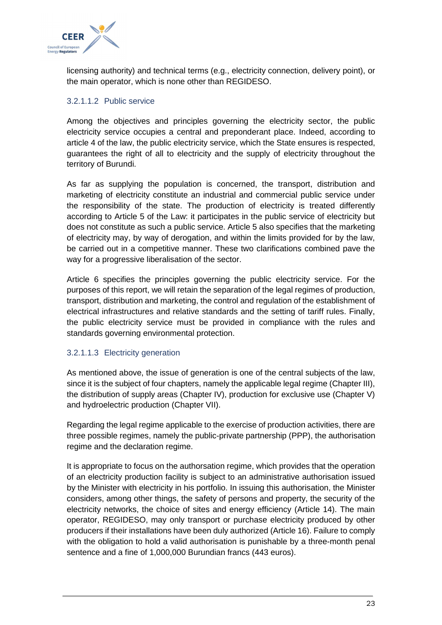

licensing authority) and technical terms (e.g., electricity connection, delivery point), or the main operator, which is none other than REGIDESO.

#### 3.2.1.1.2 Public service

Among the objectives and principles governing the electricity sector, the public electricity service occupies a central and preponderant place. Indeed, according to article 4 of the law, the public electricity service, which the State ensures is respected, guarantees the right of all to electricity and the supply of electricity throughout the territory of Burundi.

As far as supplying the population is concerned, the transport, distribution and marketing of electricity constitute an industrial and commercial public service under the responsibility of the state. The production of electricity is treated differently according to Article 5 of the Law: it participates in the public service of electricity but does not constitute as such a public service. Article 5 also specifies that the marketing of electricity may, by way of derogation, and within the limits provided for by the law, be carried out in a competitive manner. These two clarifications combined pave the way for a progressive liberalisation of the sector.

Article 6 specifies the principles governing the public electricity service. For the purposes of this report, we will retain the separation of the legal regimes of production, transport, distribution and marketing, the control and regulation of the establishment of electrical infrastructures and relative standards and the setting of tariff rules. Finally, the public electricity service must be provided in compliance with the rules and standards governing environmental protection.

#### 3.2.1.1.3 Electricity generation

As mentioned above, the issue of generation is one of the central subjects of the law, since it is the subject of four chapters, namely the applicable legal regime (Chapter III), the distribution of supply areas (Chapter IV), production for exclusive use (Chapter V) and hydroelectric production (Chapter VII).

Regarding the legal regime applicable to the exercise of production activities, there are three possible regimes, namely the public-private partnership (PPP), the authorisation regime and the declaration regime.

It is appropriate to focus on the authorsation regime, which provides that the operation of an electricity production facility is subject to an administrative authorisation issued by the Minister with electricity in his portfolio. In issuing this authorisation, the Minister considers, among other things, the safety of persons and property, the security of the electricity networks, the choice of sites and energy efficiency (Article 14). The main operator, REGIDESO, may only transport or purchase electricity produced by other producers if their installations have been duly authorized (Article 16). Failure to comply with the obligation to hold a valid authorisation is punishable by a three-month penal sentence and a fine of 1,000,000 Burundian francs (443 euros).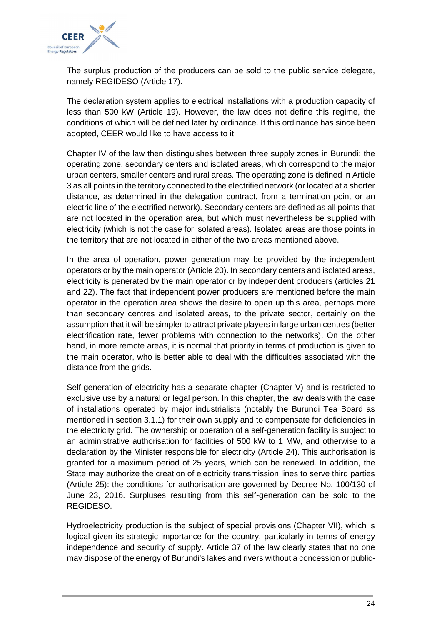

The surplus production of the producers can be sold to the public service delegate, namely REGIDESO (Article 17).

The declaration system applies to electrical installations with a production capacity of less than 500 kW (Article 19). However, the law does not define this regime, the conditions of which will be defined later by ordinance. If this ordinance has since been adopted, CEER would like to have access to it.

Chapter IV of the law then distinguishes between three supply zones in Burundi: the operating zone, secondary centers and isolated areas, which correspond to the major urban centers, smaller centers and rural areas. The operating zone is defined in Article 3 as all points in the territory connected to the electrified network (or located at a shorter distance, as determined in the delegation contract, from a termination point or an electric line of the electrified network). Secondary centers are defined as all points that are not located in the operation area, but which must nevertheless be supplied with electricity (which is not the case for isolated areas). Isolated areas are those points in the territory that are not located in either of the two areas mentioned above.

In the area of operation, power generation may be provided by the independent operators or by the main operator (Article 20). In secondary centers and isolated areas, electricity is generated by the main operator or by independent producers (articles 21 and 22). The fact that independent power producers are mentioned before the main operator in the operation area shows the desire to open up this area, perhaps more than secondary centres and isolated areas, to the private sector, certainly on the assumption that it will be simpler to attract private players in large urban centres (better electrification rate, fewer problems with connection to the networks). On the other hand, in more remote areas, it is normal that priority in terms of production is given to the main operator, who is better able to deal with the difficulties associated with the distance from the grids.

Self-generation of electricity has a separate chapter (Chapter V) and is restricted to exclusive use by a natural or legal person. In this chapter, the law deals with the case of installations operated by major industrialists (notably the Burundi Tea Board as mentioned in section 3.1.1) for their own supply and to compensate for deficiencies in the electricity grid. The ownership or operation of a self-generation facility is subject to an administrative authorisation for facilities of 500 kW to 1 MW, and otherwise to a declaration by the Minister responsible for electricity (Article 24). This authorisation is granted for a maximum period of 25 years, which can be renewed. In addition, the State may authorize the creation of electricity transmission lines to serve third parties (Article 25): the conditions for authorisation are governed by Decree No. 100/130 of June 23, 2016. Surpluses resulting from this self-generation can be sold to the REGIDESO.

Hydroelectricity production is the subject of special provisions (Chapter VII), which is logical given its strategic importance for the country, particularly in terms of energy independence and security of supply. Article 37 of the law clearly states that no one may dispose of the energy of Burundi's lakes and rivers without a concession or public-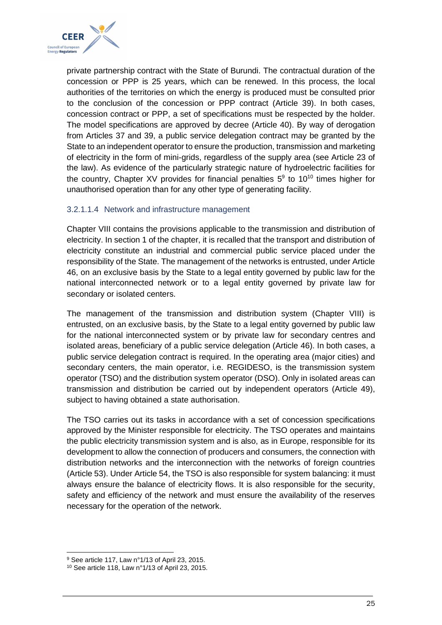

private partnership contract with the State of Burundi. The contractual duration of the concession or PPP is 25 years, which can be renewed. In this process, the local authorities of the territories on which the energy is produced must be consulted prior to the conclusion of the concession or PPP contract (Article 39). In both cases, concession contract or PPP, a set of specifications must be respected by the holder. The model specifications are approved by decree (Article 40). By way of derogation from Articles 37 and 39, a public service delegation contract may be granted by the State to an independent operator to ensure the production, transmission and marketing of electricity in the form of mini-grids, regardless of the supply area (see Article 23 of the law). As evidence of the particularly strategic nature of hydroelectric facilities for the country, Chapter XV provides for financial penalties  $5^{\circ}$  to 10<sup>10</sup> times higher for unauthorised operation than for any other type of generating facility.

#### 3.2.1.1.4 Network and infrastructure management

Chapter VIII contains the provisions applicable to the transmission and distribution of electricity. In section 1 of the chapter, it is recalled that the transport and distribution of electricity constitute an industrial and commercial public service placed under the responsibility of the State. The management of the networks is entrusted, under Article 46, on an exclusive basis by the State to a legal entity governed by public law for the national interconnected network or to a legal entity governed by private law for secondary or isolated centers.

The management of the transmission and distribution system (Chapter VIII) is entrusted, on an exclusive basis, by the State to a legal entity governed by public law for the national interconnected system or by private law for secondary centres and isolated areas, beneficiary of a public service delegation (Article 46). In both cases, a public service delegation contract is required. In the operating area (major cities) and secondary centers, the main operator, i.e. REGIDESO, is the transmission system operator (TSO) and the distribution system operator (DSO). Only in isolated areas can transmission and distribution be carried out by independent operators (Article 49), subject to having obtained a state authorisation.

The TSO carries out its tasks in accordance with a set of concession specifications approved by the Minister responsible for electricity. The TSO operates and maintains the public electricity transmission system and is also, as in Europe, responsible for its development to allow the connection of producers and consumers, the connection with distribution networks and the interconnection with the networks of foreign countries (Article 53). Under Article 54, the TSO is also responsible for system balancing: it must always ensure the balance of electricity flows. It is also responsible for the security, safety and efficiency of the network and must ensure the availability of the reserves necessary for the operation of the network.

<sup>9</sup> See article 117, Law n°1/13 of April 23, 2015.

<sup>10</sup> See article 118, Law n°1/13 of April 23, 2015.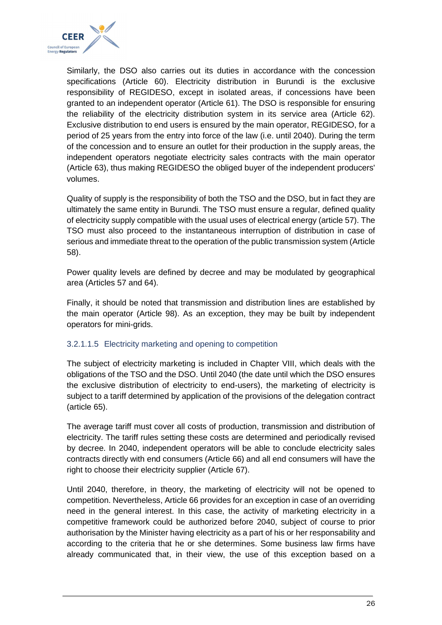

Similarly, the DSO also carries out its duties in accordance with the concession specifications (Article 60). Electricity distribution in Burundi is the exclusive responsibility of REGIDESO, except in isolated areas, if concessions have been granted to an independent operator (Article 61). The DSO is responsible for ensuring the reliability of the electricity distribution system in its service area (Article 62). Exclusive distribution to end users is ensured by the main operator, REGIDESO, for a period of 25 years from the entry into force of the law (i.e. until 2040). During the term of the concession and to ensure an outlet for their production in the supply areas, the independent operators negotiate electricity sales contracts with the main operator (Article 63), thus making REGIDESO the obliged buyer of the independent producers' volumes.

Quality of supply is the responsibility of both the TSO and the DSO, but in fact they are ultimately the same entity in Burundi. The TSO must ensure a regular, defined quality of electricity supply compatible with the usual uses of electrical energy (article 57). The TSO must also proceed to the instantaneous interruption of distribution in case of serious and immediate threat to the operation of the public transmission system (Article 58).

Power quality levels are defined by decree and may be modulated by geographical area (Articles 57 and 64).

Finally, it should be noted that transmission and distribution lines are established by the main operator (Article 98). As an exception, they may be built by independent operators for mini-grids.

#### 3.2.1.1.5 Electricity marketing and opening to competition

The subject of electricity marketing is included in Chapter VIII, which deals with the obligations of the TSO and the DSO. Until 2040 (the date until which the DSO ensures the exclusive distribution of electricity to end-users), the marketing of electricity is subject to a tariff determined by application of the provisions of the delegation contract (article 65).

The average tariff must cover all costs of production, transmission and distribution of electricity. The tariff rules setting these costs are determined and periodically revised by decree. In 2040, independent operators will be able to conclude electricity sales contracts directly with end consumers (Article 66) and all end consumers will have the right to choose their electricity supplier (Article 67).

Until 2040, therefore, in theory, the marketing of electricity will not be opened to competition. Nevertheless, Article 66 provides for an exception in case of an overriding need in the general interest. In this case, the activity of marketing electricity in a competitive framework could be authorized before 2040, subject of course to prior authorisation by the Minister having electricity as a part of his or her responsability and according to the criteria that he or she determines. Some business law firms have already communicated that, in their view, the use of this exception based on a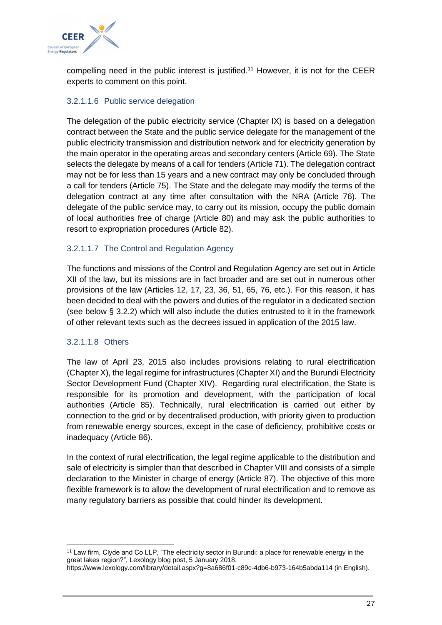

compelling need in the public interest is justified. <sup>11</sup> However, it is not for the CEER experts to comment on this point.

#### 3.2.1.1.6 Public service delegation

The delegation of the public electricity service (Chapter IX) is based on a delegation contract between the State and the public service delegate for the management of the public electricity transmission and distribution network and for electricity generation by the main operator in the operating areas and secondary centers (Article 69). The State selects the delegate by means of a call for tenders (Article 71). The delegation contract may not be for less than 15 years and a new contract may only be concluded through a call for tenders (Article 75). The State and the delegate may modify the terms of the delegation contract at any time after consultation with the NRA (Article 76). The delegate of the public service may, to carry out its mission, occupy the public domain of local authorities free of charge (Article 80) and may ask the public authorities to resort to expropriation procedures (Article 82).

#### 3.2.1.1.7 The Control and Regulation Agency

The functions and missions of the Control and Regulation Agency are set out in Article XII of the law, but its missions are in fact broader and are set out in numerous other provisions of the law (Articles 12, 17, 23, 36, 51, 65, 76, etc.). For this reason, it has been decided to deal with the powers and duties of the regulator in a dedicated section (see below § 3.2.2) which will also include the duties entrusted to it in the framework of other relevant texts such as the decrees issued in application of the 2015 law.

#### 3.2.1.1.8 Others

The law of April 23, 2015 also includes provisions relating to rural electrification (Chapter X), the legal regime for infrastructures (Chapter XI) and the Burundi Electricity Sector Development Fund (Chapter XIV). Regarding rural electrification, the State is responsible for its promotion and development, with the participation of local authorities (Article 85). Technically, rural electrification is carried out either by connection to the grid or by decentralised production, with priority given to production from renewable energy sources, except in the case of deficiency, prohibitive costs or inadequacy (Article 86).

In the context of rural electrification, the legal regime applicable to the distribution and sale of electricity is simpler than that described in Chapter VIII and consists of a simple declaration to the Minister in charge of energy (Article 87). The objective of this more flexible framework is to allow the development of rural electrification and to remove as many regulatory barriers as possible that could hinder its development.

<sup>11</sup> Law firm, Clyde and Co LLP, "The electricity sector in Burundi: a place for renewable energy in the great lakes region?", Lexology blog post, 5 January 2018.

<https://www.lexology.com/library/detail.aspx?g=8a686f01-c89c-4db6-b973-164b5abda114> (in English).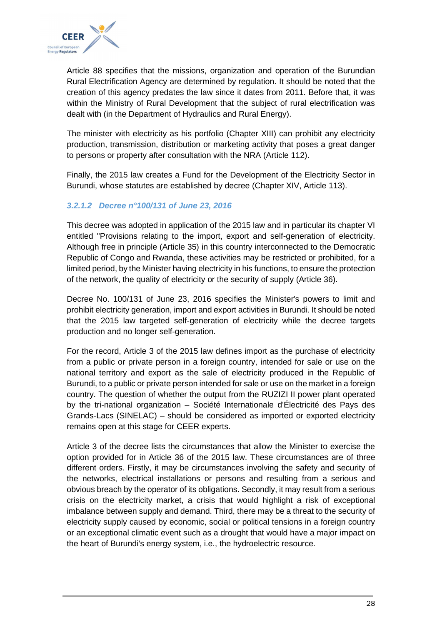

Article 88 specifies that the missions, organization and operation of the Burundian Rural Electrification Agency are determined by regulation. It should be noted that the creation of this agency predates the law since it dates from 2011. Before that, it was within the Ministry of Rural Development that the subject of rural electrification was dealt with (in the Department of Hydraulics and Rural Energy).

The minister with electricity as his portfolio (Chapter XIII) can prohibit any electricity production, transmission, distribution or marketing activity that poses a great danger to persons or property after consultation with the NRA (Article 112).

Finally, the 2015 law creates a Fund for the Development of the Electricity Sector in Burundi, whose statutes are established by decree (Chapter XIV, Article 113).

#### *3.2.1.2 Decree n°100/131 of June 23, 2016*

This decree was adopted in application of the 2015 law and in particular its chapter VI entitled "Provisions relating to the import, export and self-generation of electricity. Although free in principle (Article 35) in this country interconnected to the Democratic Republic of Congo and Rwanda, these activities may be restricted or prohibited, for a limited period, by the Minister having electricity in his functions, to ensure the protection of the network, the quality of electricity or the security of supply (Article 36).

Decree No. 100/131 of June 23, 2016 specifies the Minister's powers to limit and prohibit electricity generation, import and export activities in Burundi. It should be noted that the 2015 law targeted self-generation of electricity while the decree targets production and no longer self-generation.

For the record, Article 3 of the 2015 law defines import as the purchase of electricity from a public or private person in a foreign country, intended for sale or use on the national territory and export as the sale of electricity produced in the Republic of Burundi, to a public or private person intended for sale or use on the market in a foreign country. The question of whether the output from the RUZIZI II power plant operated by the tri-national organization – Société Internationale d'Électricité des Pays des Grands-Lacs (SINELAC) – should be considered as imported or exported electricity remains open at this stage for CEER experts.

Article 3 of the decree lists the circumstances that allow the Minister to exercise the option provided for in Article 36 of the 2015 law. These circumstances are of three different orders. Firstly, it may be circumstances involving the safety and security of the networks, electrical installations or persons and resulting from a serious and obvious breach by the operator of its obligations. Secondly, it may result from a serious crisis on the electricity market, a crisis that would highlight a risk of exceptional imbalance between supply and demand. Third, there may be a threat to the security of electricity supply caused by economic, social or political tensions in a foreign country or an exceptional climatic event such as a drought that would have a major impact on the heart of Burundi's energy system, i.e., the hydroelectric resource.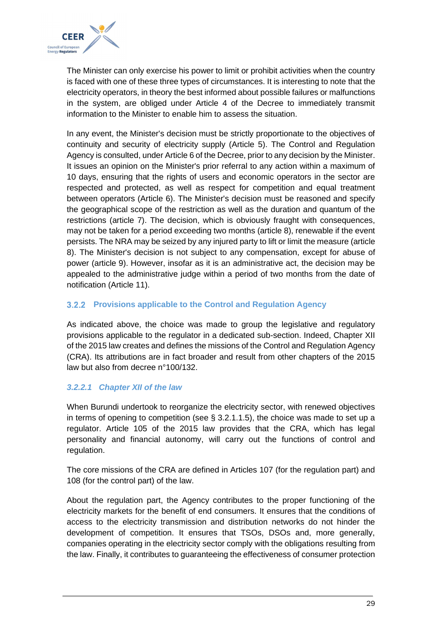

The Minister can only exercise his power to limit or prohibit activities when the country is faced with one of these three types of circumstances. It is interesting to note that the electricity operators, in theory the best informed about possible failures or malfunctions in the system, are obliged under Article 4 of the Decree to immediately transmit information to the Minister to enable him to assess the situation.

In any event, the Minister's decision must be strictly proportionate to the objectives of continuity and security of electricity supply (Article 5). The Control and Regulation Agency is consulted, under Article 6 of the Decree, prior to any decision by the Minister. It issues an opinion on the Minister's prior referral to any action within a maximum of 10 days, ensuring that the rights of users and economic operators in the sector are respected and protected, as well as respect for competition and equal treatment between operators (Article 6). The Minister's decision must be reasoned and specify the geographical scope of the restriction as well as the duration and quantum of the restrictions (article 7). The decision, which is obviously fraught with consequences, may not be taken for a period exceeding two months (article 8), renewable if the event persists. The NRA may be seized by any injured party to lift or limit the measure (article 8). The Minister's decision is not subject to any compensation, except for abuse of power (article 9). However, insofar as it is an administrative act, the decision may be appealed to the administrative judge within a period of two months from the date of notification (Article 11).

### <span id="page-28-0"></span>**Provisions applicable to the Control and Regulation Agency**

As indicated above, the choice was made to group the legislative and regulatory provisions applicable to the regulator in a dedicated sub-section. Indeed, Chapter XII of the 2015 law creates and defines the missions of the Control and Regulation Agency (CRA). Its attributions are in fact broader and result from other chapters of the 2015 law but also from decree n°100/132.

#### *3.2.2.1 Chapter XII of the law*

When Burundi undertook to reorganize the electricity sector, with renewed objectives in terms of opening to competition (see § 3.2.1.1.5), the choice was made to set up a regulator. Article 105 of the 2015 law provides that the CRA, which has legal personality and financial autonomy, will carry out the functions of control and regulation.

The core missions of the CRA are defined in Articles 107 (for the regulation part) and 108 (for the control part) of the law.

About the regulation part, the Agency contributes to the proper functioning of the electricity markets for the benefit of end consumers. It ensures that the conditions of access to the electricity transmission and distribution networks do not hinder the development of competition. It ensures that TSOs, DSOs and, more generally, companies operating in the electricity sector comply with the obligations resulting from the law. Finally, it contributes to guaranteeing the effectiveness of consumer protection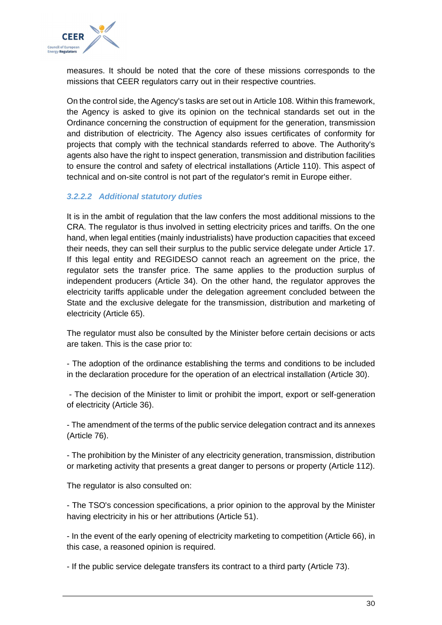

measures. It should be noted that the core of these missions corresponds to the missions that CEER regulators carry out in their respective countries.

On the control side, the Agency's tasks are set out in Article 108. Within this framework, the Agency is asked to give its opinion on the technical standards set out in the Ordinance concerning the construction of equipment for the generation, transmission and distribution of electricity. The Agency also issues certificates of conformity for projects that comply with the technical standards referred to above. The Authority's agents also have the right to inspect generation, transmission and distribution facilities to ensure the control and safety of electrical installations (Article 110). This aspect of technical and on-site control is not part of the regulator's remit in Europe either.

#### *3.2.2.2 Additional statutory duties*

It is in the ambit of regulation that the law confers the most additional missions to the CRA. The regulator is thus involved in setting electricity prices and tariffs. On the one hand, when legal entities (mainly industrialists) have production capacities that exceed their needs, they can sell their surplus to the public service delegate under Article 17. If this legal entity and REGIDESO cannot reach an agreement on the price, the regulator sets the transfer price. The same applies to the production surplus of independent producers (Article 34). On the other hand, the regulator approves the electricity tariffs applicable under the delegation agreement concluded between the State and the exclusive delegate for the transmission, distribution and marketing of electricity (Article 65).

The regulator must also be consulted by the Minister before certain decisions or acts are taken. This is the case prior to:

- The adoption of the ordinance establishing the terms and conditions to be included in the declaration procedure for the operation of an electrical installation (Article 30).

- The decision of the Minister to limit or prohibit the import, export or self-generation of electricity (Article 36).

- The amendment of the terms of the public service delegation contract and its annexes (Article 76).

- The prohibition by the Minister of any electricity generation, transmission, distribution or marketing activity that presents a great danger to persons or property (Article 112).

The regulator is also consulted on:

- The TSO's concession specifications, a prior opinion to the approval by the Minister having electricity in his or her attributions (Article 51).

- In the event of the early opening of electricity marketing to competition (Article 66), in this case, a reasoned opinion is required.

- If the public service delegate transfers its contract to a third party (Article 73).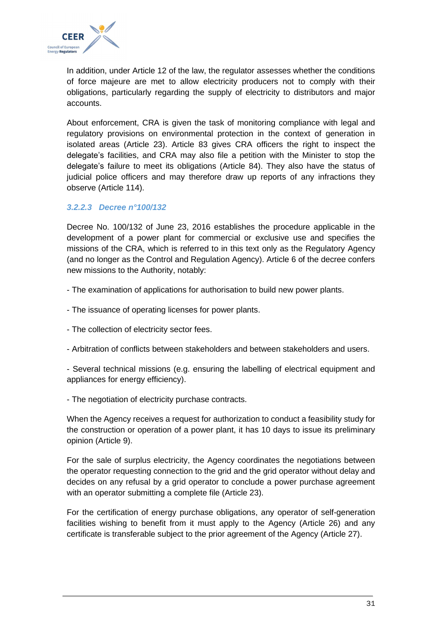

In addition, under Article 12 of the law, the regulator assesses whether the conditions of force majeure are met to allow electricity producers not to comply with their obligations, particularly regarding the supply of electricity to distributors and major accounts.

About enforcement, CRA is given the task of monitoring compliance with legal and regulatory provisions on environmental protection in the context of generation in isolated areas (Article 23). Article 83 gives CRA officers the right to inspect the delegate's facilities, and CRA may also file a petition with the Minister to stop the delegate's failure to meet its obligations (Article 84). They also have the status of judicial police officers and may therefore draw up reports of any infractions they observe (Article 114).

#### *3.2.2.3 Decree n°100/132*

Decree No. 100/132 of June 23, 2016 establishes the procedure applicable in the development of a power plant for commercial or exclusive use and specifies the missions of the CRA, which is referred to in this text only as the Regulatory Agency (and no longer as the Control and Regulation Agency). Article 6 of the decree confers new missions to the Authority, notably:

- The examination of applications for authorisation to build new power plants.

- The issuance of operating licenses for power plants.
- The collection of electricity sector fees.
- Arbitration of conflicts between stakeholders and between stakeholders and users.

- Several technical missions (e.g. ensuring the labelling of electrical equipment and appliances for energy efficiency).

- The negotiation of electricity purchase contracts.

When the Agency receives a request for authorization to conduct a feasibility study for the construction or operation of a power plant, it has 10 days to issue its preliminary opinion (Article 9).

For the sale of surplus electricity, the Agency coordinates the negotiations between the operator requesting connection to the grid and the grid operator without delay and decides on any refusal by a grid operator to conclude a power purchase agreement with an operator submitting a complete file (Article 23).

For the certification of energy purchase obligations, any operator of self-generation facilities wishing to benefit from it must apply to the Agency (Article 26) and any certificate is transferable subject to the prior agreement of the Agency (Article 27).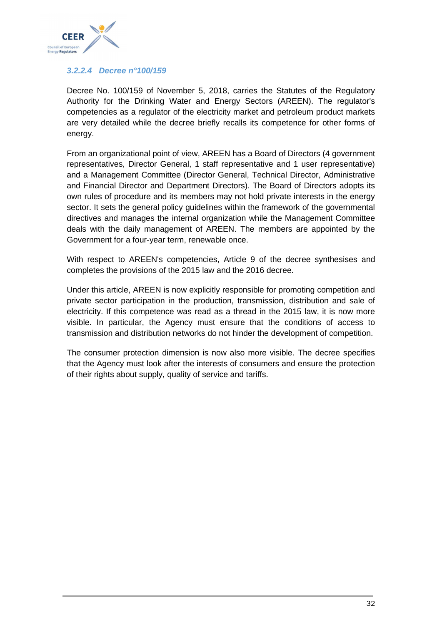

#### *3.2.2.4 Decree n°100/159*

Decree No. 100/159 of November 5, 2018, carries the Statutes of the Regulatory Authority for the Drinking Water and Energy Sectors (AREEN). The regulator's competencies as a regulator of the electricity market and petroleum product markets are very detailed while the decree briefly recalls its competence for other forms of energy.

From an organizational point of view, AREEN has a Board of Directors (4 government representatives, Director General, 1 staff representative and 1 user representative) and a Management Committee (Director General, Technical Director, Administrative and Financial Director and Department Directors). The Board of Directors adopts its own rules of procedure and its members may not hold private interests in the energy sector. It sets the general policy guidelines within the framework of the governmental directives and manages the internal organization while the Management Committee deals with the daily management of AREEN. The members are appointed by the Government for a four-year term, renewable once.

With respect to AREEN's competencies, Article 9 of the decree synthesises and completes the provisions of the 2015 law and the 2016 decree.

Under this article, AREEN is now explicitly responsible for promoting competition and private sector participation in the production, transmission, distribution and sale of electricity. If this competence was read as a thread in the 2015 law, it is now more visible. In particular, the Agency must ensure that the conditions of access to transmission and distribution networks do not hinder the development of competition.

The consumer protection dimension is now also more visible. The decree specifies that the Agency must look after the interests of consumers and ensure the protection of their rights about supply, quality of service and tariffs.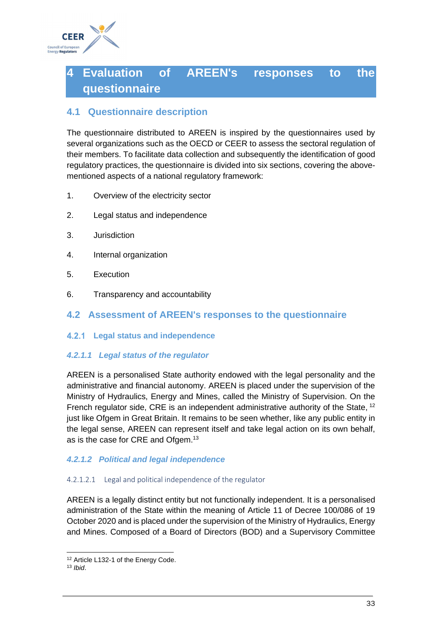

# <span id="page-32-0"></span>**4 Evaluation of AREEN's responses to the questionnaire**

# <span id="page-32-1"></span>**4.1 Questionnaire description**

The questionnaire distributed to AREEN is inspired by the questionnaires used by several organizations such as the OECD or CEER to assess the sectoral regulation of their members. To facilitate data collection and subsequently the identification of good regulatory practices, the questionnaire is divided into six sections, covering the abovementioned aspects of a national regulatory framework:

- 1. Overview of the electricity sector
- 2. Legal status and independence
- 3. Jurisdiction
- 4. Internal organization
- 5. Execution
- 6. Transparency and accountability

#### <span id="page-32-2"></span>**4.2 Assessment of AREEN's responses to the questionnaire**

<span id="page-32-3"></span>**Legal status and independence**

#### *4.2.1.1 Legal status of the regulator*

AREEN is a personalised State authority endowed with the legal personality and the administrative and financial autonomy. AREEN is placed under the supervision of the Ministry of Hydraulics, Energy and Mines, called the Ministry of Supervision. On the French regulator side, CRE is an independent administrative authority of the State, <sup>12</sup> just like Ofgem in Great Britain. It remains to be seen whether, like any public entity in the legal sense, AREEN can represent itself and take legal action on its own behalf, as is the case for CRE and Ofgem.<sup>13</sup>

#### *4.2.1.2 Political and legal independence*

#### 4.2.1.2.1 Legal and political independence of the regulator

AREEN is a legally distinct entity but not functionally independent. It is a personalised administration of the State within the meaning of Article 11 of Decree 100/086 of 19 October 2020 and is placed under the supervision of the Ministry of Hydraulics, Energy and Mines. Composed of a Board of Directors (BOD) and a Supervisory Committee

<sup>&</sup>lt;sup>12</sup> Article L132-1 of the Energy Code.

<sup>13</sup> *Ibid*.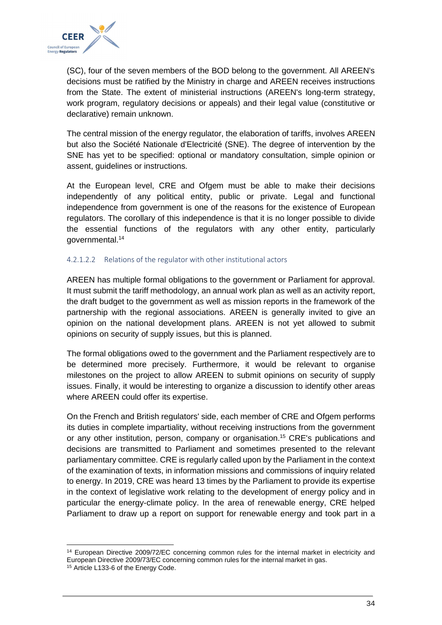

(SC), four of the seven members of the BOD belong to the government. All AREEN's decisions must be ratified by the Ministry in charge and AREEN receives instructions from the State. The extent of ministerial instructions (AREEN's long-term strategy, work program, regulatory decisions or appeals) and their legal value (constitutive or declarative) remain unknown.

The central mission of the energy regulator, the elaboration of tariffs, involves AREEN but also the Société Nationale d'Electricité (SNE). The degree of intervention by the SNE has yet to be specified: optional or mandatory consultation, simple opinion or assent, guidelines or instructions.

At the European level, CRE and Ofgem must be able to make their decisions independently of any political entity, public or private. Legal and functional independence from government is one of the reasons for the existence of European regulators. The corollary of this independence is that it is no longer possible to divide the essential functions of the regulators with any other entity, particularly governmental. 14

#### 4.2.1.2.2 Relations of the regulator with other institutional actors

AREEN has multiple formal obligations to the government or Parliament for approval. It must submit the tariff methodology, an annual work plan as well as an activity report, the draft budget to the government as well as mission reports in the framework of the partnership with the regional associations. AREEN is generally invited to give an opinion on the national development plans. AREEN is not yet allowed to submit opinions on security of supply issues, but this is planned.

The formal obligations owed to the government and the Parliament respectively are to be determined more precisely. Furthermore, it would be relevant to organise milestones on the project to allow AREEN to submit opinions on security of supply issues. Finally, it would be interesting to organize a discussion to identify other areas where AREEN could offer its expertise.

On the French and British regulators' side, each member of CRE and Ofgem performs its duties in complete impartiality, without receiving instructions from the government or any other institution, person, company or organisation.<sup>15</sup> CRE's publications and decisions are transmitted to Parliament and sometimes presented to the relevant parliamentary committee. CRE is regularly called upon by the Parliament in the context of the examination of texts, in information missions and commissions of inquiry related to energy. In 2019, CRE was heard 13 times by the Parliament to provide its expertise in the context of legislative work relating to the development of energy policy and in particular the energy-climate policy. In the area of renewable energy, CRE helped Parliament to draw up a report on support for renewable energy and took part in a

<sup>&</sup>lt;sup>14</sup> European Directive 2009/72/EC concerning common rules for the internal market in electricity and European Directive 2009/73/EC concerning common rules for the internal market in gas.

<sup>15</sup> Article L133-6 of the Energy Code.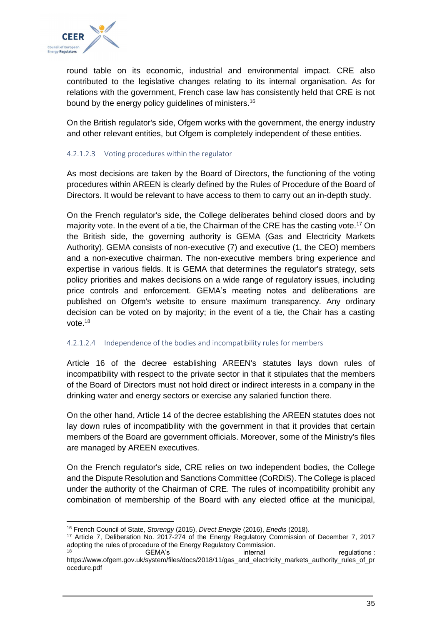

round table on its economic, industrial and environmental impact. CRE also contributed to the legislative changes relating to its internal organisation. As for relations with the government, French case law has consistently held that CRE is not bound by the energy policy guidelines of ministers.<sup>16</sup>

On the British regulator's side, Ofgem works with the government, the energy industry and other relevant entities, but Ofgem is completely independent of these entities.

#### 4.2.1.2.3 Voting procedures within the regulator

As most decisions are taken by the Board of Directors, the functioning of the voting procedures within AREEN is clearly defined by the Rules of Procedure of the Board of Directors. It would be relevant to have access to them to carry out an in-depth study.

On the French regulator's side, the College deliberates behind closed doors and by majority vote. In the event of a tie, the Chairman of the CRE has the casting vote.<sup>17</sup> On the British side, the governing authority is GEMA (Gas and Electricity Markets Authority). GEMA consists of non-executive (7) and executive (1, the CEO) members and a non-executive chairman. The non-executive members bring experience and expertise in various fields. It is GEMA that determines the regulator's strategy, sets policy priorities and makes decisions on a wide range of regulatory issues, including price controls and enforcement. GEMA's meeting notes and deliberations are published on Ofgem's website to ensure maximum transparency. Any ordinary decision can be voted on by majority; in the event of a tie, the Chair has a casting vote.<sup>18</sup>

#### 4.2.1.2.4 Independence of the bodies and incompatibility rules for members

Article 16 of the decree establishing AREEN's statutes lays down rules of incompatibility with respect to the private sector in that it stipulates that the members of the Board of Directors must not hold direct or indirect interests in a company in the drinking water and energy sectors or exercise any salaried function there.

On the other hand, Article 14 of the decree establishing the AREEN statutes does not lay down rules of incompatibility with the government in that it provides that certain members of the Board are government officials. Moreover, some of the Ministry's files are managed by AREEN executives.

On the French regulator's side, CRE relies on two independent bodies, the College and the Dispute Resolution and Sanctions Committee (CoRDiS). The College is placed under the authority of the Chairman of CRE. The rules of incompatibility prohibit any combination of membership of the Board with any elected office at the municipal,

<sup>16</sup> French Council of State, *Storengy* (2015), *Direct Energie* (2016), *Enedis* (2018).

<sup>17</sup> Article 7, Deliberation No. 2017-274 of the Energy Regulatory Commission of December 7, 2017 adopting the rules of procedure of the Energy Regulatory Commission.

**<sup>18</sup> GEMA's** internal regulations : https://www.ofgem.gov.uk/system/files/docs/2018/11/gas\_and\_electricity\_markets\_authority\_rules\_of\_pr ocedure.pdf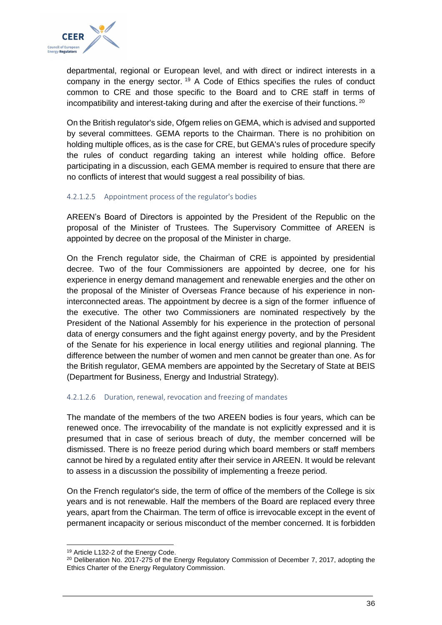

departmental, regional or European level, and with direct or indirect interests in a company in the energy sector. <sup>19</sup> A Code of Ethics specifies the rules of conduct common to CRE and those specific to the Board and to CRE staff in terms of incompatibility and interest-taking during and after the exercise of their functions. <sup>20</sup>

On the British regulator's side, Ofgem relies on GEMA, which is advised and supported by several committees. GEMA reports to the Chairman. There is no prohibition on holding multiple offices, as is the case for CRE, but GEMA's rules of procedure specify the rules of conduct regarding taking an interest while holding office. Before participating in a discussion, each GEMA member is required to ensure that there are no conflicts of interest that would suggest a real possibility of bias.

#### 4.2.1.2.5 Appointment process of the regulator's bodies

AREEN's Board of Directors is appointed by the President of the Republic on the proposal of the Minister of Trustees. The Supervisory Committee of AREEN is appointed by decree on the proposal of the Minister in charge.

On the French regulator side, the Chairman of CRE is appointed by presidential decree. Two of the four Commissioners are appointed by decree, one for his experience in energy demand management and renewable energies and the other on the proposal of the Minister of Overseas France because of his experience in noninterconnected areas. The appointment by decree is a sign of the former influence of the executive. The other two Commissioners are nominated respectively by the President of the National Assembly for his experience in the protection of personal data of energy consumers and the fight against energy poverty, and by the President of the Senate for his experience in local energy utilities and regional planning. The difference between the number of women and men cannot be greater than one. As for the British regulator, GEMA members are appointed by the Secretary of State at BEIS (Department for Business, Energy and Industrial Strategy).

#### 4.2.1.2.6 Duration, renewal, revocation and freezing of mandates

The mandate of the members of the two AREEN bodies is four years, which can be renewed once. The irrevocability of the mandate is not explicitly expressed and it is presumed that in case of serious breach of duty, the member concerned will be dismissed. There is no freeze period during which board members or staff members cannot be hired by a regulated entity after their service in AREEN. It would be relevant to assess in a discussion the possibility of implementing a freeze period.

On the French regulator's side, the term of office of the members of the College is six years and is not renewable. Half the members of the Board are replaced every three years, apart from the Chairman. The term of office is irrevocable except in the event of permanent incapacity or serious misconduct of the member concerned. It is forbidden

<sup>19</sup> Article L132-2 of the Energy Code.

<sup>&</sup>lt;sup>20</sup> Deliberation No. 2017-275 of the Energy Regulatory Commission of December 7, 2017, adopting the Ethics Charter of the Energy Regulatory Commission.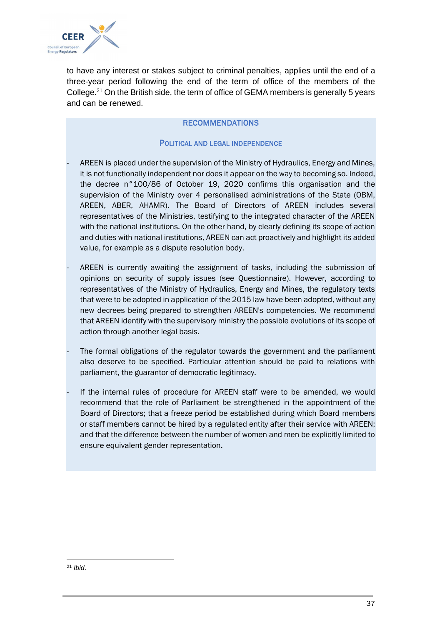

to have any interest or stakes subject to criminal penalties, applies until the end of a three-year period following the end of the term of office of the members of the College.<sup>21</sup> On the British side, the term of office of GEMA members is generally 5 years and can be renewed.

#### RECOMMENDATIONS

#### POLITICAL AND LEGAL INDEPENDENCE

- AREEN is placed under the supervision of the Ministry of Hydraulics, Energy and Mines, it is not functionally independent nor does it appear on the way to becoming so. Indeed, the decree n°100/86 of October 19, 2020 confirms this organisation and the supervision of the Ministry over 4 personalised administrations of the State (OBM, AREEN, ABER, AHAMR). The Board of Directors of AREEN includes several representatives of the Ministries, testifying to the integrated character of the AREEN with the national institutions. On the other hand, by clearly defining its scope of action and duties with national institutions, AREEN can act proactively and highlight its added value, for example as a dispute resolution body.
- AREEN is currently awaiting the assignment of tasks, including the submission of opinions on security of supply issues (see Questionnaire). However, according to representatives of the Ministry of Hydraulics, Energy and Mines, the regulatory texts that were to be adopted in application of the 2015 law have been adopted, without any new decrees being prepared to strengthen AREEN's competencies. We recommend that AREEN identify with the supervisory ministry the possible evolutions of its scope of action through another legal basis.
- The formal obligations of the regulator towards the government and the parliament also deserve to be specified. Particular attention should be paid to relations with parliament, the guarantor of democratic legitimacy.
- If the internal rules of procedure for AREEN staff were to be amended, we would recommend that the role of Parliament be strengthened in the appointment of the Board of Directors; that a freeze period be established during which Board members or staff members cannot be hired by a regulated entity after their service with AREEN; and that the difference between the number of women and men be explicitly limited to ensure equivalent gender representation.

<sup>21</sup> *Ibid*.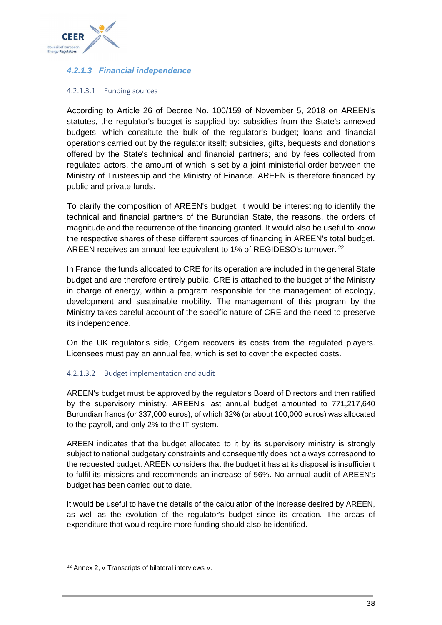

# *4.2.1.3 Financial independence*

#### 4.2.1.3.1 Funding sources

According to Article 26 of Decree No. 100/159 of November 5, 2018 on AREEN's statutes, the regulator's budget is supplied by: subsidies from the State's annexed budgets, which constitute the bulk of the regulator's budget; loans and financial operations carried out by the regulator itself; subsidies, gifts, bequests and donations offered by the State's technical and financial partners; and by fees collected from regulated actors, the amount of which is set by a joint ministerial order between the Ministry of Trusteeship and the Ministry of Finance. AREEN is therefore financed by public and private funds.

To clarify the composition of AREEN's budget, it would be interesting to identify the technical and financial partners of the Burundian State, the reasons, the orders of magnitude and the recurrence of the financing granted. It would also be useful to know the respective shares of these different sources of financing in AREEN's total budget. AREEN receives an annual fee equivalent to 1% of REGIDESO's turnover. <sup>22</sup>

In France, the funds allocated to CRE for its operation are included in the general State budget and are therefore entirely public. CRE is attached to the budget of the Ministry in charge of energy, within a program responsible for the management of ecology, development and sustainable mobility. The management of this program by the Ministry takes careful account of the specific nature of CRE and the need to preserve its independence.

On the UK regulator's side, Ofgem recovers its costs from the regulated players. Licensees must pay an annual fee, which is set to cover the expected costs.

#### 4.2.1.3.2 Budget implementation and audit

AREEN's budget must be approved by the regulator's Board of Directors and then ratified by the supervisory ministry. AREEN's last annual budget amounted to 771,217,640 Burundian francs (or 337,000 euros), of which 32% (or about 100,000 euros) was allocated to the payroll, and only 2% to the IT system.

AREEN indicates that the budget allocated to it by its supervisory ministry is strongly subject to national budgetary constraints and consequently does not always correspond to the requested budget. AREEN considers that the budget it has at its disposal is insufficient to fulfil its missions and recommends an increase of 56%. No annual audit of AREEN's budget has been carried out to date.

It would be useful to have the details of the calculation of the increase desired by AREEN, as well as the evolution of the regulator's budget since its creation. The areas of expenditure that would require more funding should also be identified.

<sup>22</sup> Annex 2, « Transcripts of bilateral interviews ».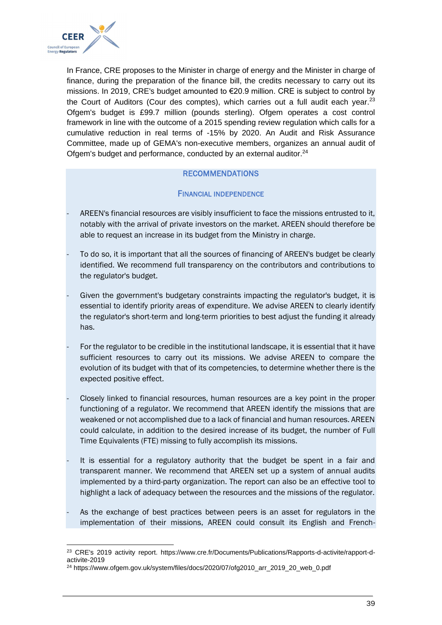

In France, CRE proposes to the Minister in charge of energy and the Minister in charge of finance, during the preparation of the finance bill, the credits necessary to carry out its missions. In 2019, CRE's budget amounted to €20.9 million. CRE is subject to control by the Court of Auditors (Cour des comptes), which carries out a full audit each year.<sup>23</sup> Ofgem's budget is £99.7 million (pounds sterling). Ofgem operates a cost control framework in line with the outcome of a 2015 spending review regulation which calls for a cumulative reduction in real terms of -15% by 2020. An Audit and Risk Assurance Committee, made up of GEMA's non-executive members, organizes an annual audit of Ofgem's budget and performance, conducted by an external auditor. $^{24}$ 

#### RECOMMENDATIONS

#### FINANCIAL INDEPENDENCE

- AREEN's financial resources are visibly insufficient to face the missions entrusted to it, notably with the arrival of private investors on the market. AREEN should therefore be able to request an increase in its budget from the Ministry in charge.
- To do so, it is important that all the sources of financing of AREEN's budget be clearly identified. We recommend full transparency on the contributors and contributions to the regulator's budget.
- Given the government's budgetary constraints impacting the regulator's budget, it is essential to identify priority areas of expenditure. We advise AREEN to clearly identify the regulator's short-term and long-term priorities to best adjust the funding it already has.
- For the regulator to be credible in the institutional landscape, it is essential that it have sufficient resources to carry out its missions. We advise AREEN to compare the evolution of its budget with that of its competencies, to determine whether there is the expected positive effect.
- Closely linked to financial resources, human resources are a key point in the proper functioning of a regulator. We recommend that AREEN identify the missions that are weakened or not accomplished due to a lack of financial and human resources. AREEN could calculate, in addition to the desired increase of its budget, the number of Full Time Equivalents (FTE) missing to fully accomplish its missions.
- It is essential for a regulatory authority that the budget be spent in a fair and transparent manner. We recommend that AREEN set up a system of annual audits implemented by a third-party organization. The report can also be an effective tool to highlight a lack of adequacy between the resources and the missions of the regulator.
- As the exchange of best practices between peers is an asset for regulators in the implementation of their missions, AREEN could consult its English and French-

<sup>23</sup> CRE's 2019 activity report. https://www.cre.fr/Documents/Publications/Rapports-d-activite/rapport-dactivite-2019

<sup>24</sup> https://www.ofgem.gov.uk/system/files/docs/2020/07/ofg2010\_arr\_2019\_20\_web\_0.pdf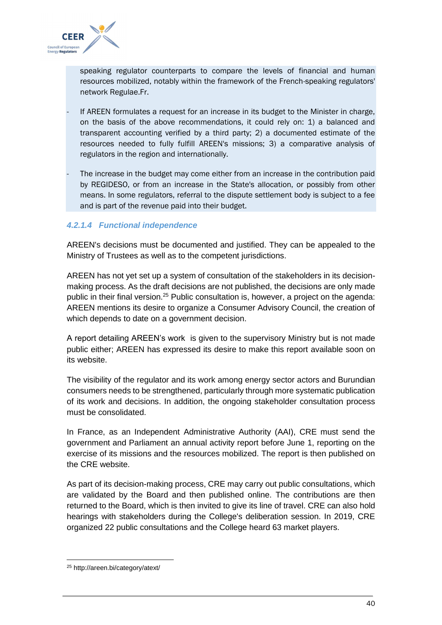

speaking regulator counterparts to compare the levels of financial and human resources mobilized, notably within the framework of the French-speaking regulators' network Regulae.Fr.

- If AREEN formulates a request for an increase in its budget to the Minister in charge. on the basis of the above recommendations, it could rely on: 1) a balanced and transparent accounting verified by a third party; 2) a documented estimate of the resources needed to fully fulfill AREEN's missions; 3) a comparative analysis of regulators in the region and internationally.
- The increase in the budget may come either from an increase in the contribution paid by REGIDESO, or from an increase in the State's allocation, or possibly from other means. In some regulators, referral to the dispute settlement body is subject to a fee and is part of the revenue paid into their budget.

# *4.2.1.4 Functional independence*

AREEN's decisions must be documented and justified. They can be appealed to the Ministry of Trustees as well as to the competent jurisdictions.

AREEN has not yet set up a system of consultation of the stakeholders in its decisionmaking process. As the draft decisions are not published, the decisions are only made public in their final version.<sup>25</sup> Public consultation is, however, a project on the agenda: AREEN mentions its desire to organize a Consumer Advisory Council, the creation of which depends to date on a government decision.

A report detailing AREEN's work is given to the supervisory Ministry but is not made public either; AREEN has expressed its desire to make this report available soon on its website.

The visibility of the regulator and its work among energy sector actors and Burundian consumers needs to be strengthened, particularly through more systematic publication of its work and decisions. In addition, the ongoing stakeholder consultation process must be consolidated.

In France, as an Independent Administrative Authority (AAI), CRE must send the government and Parliament an annual activity report before June 1, reporting on the exercise of its missions and the resources mobilized. The report is then published on the CRE website.

As part of its decision-making process, CRE may carry out public consultations, which are validated by the Board and then published online. The contributions are then returned to the Board, which is then invited to give its line of travel. CRE can also hold hearings with stakeholders during the College's deliberation session. In 2019, CRE organized 22 public consultations and the College heard 63 market players.

<sup>25</sup> http://areen.bi/category/atext/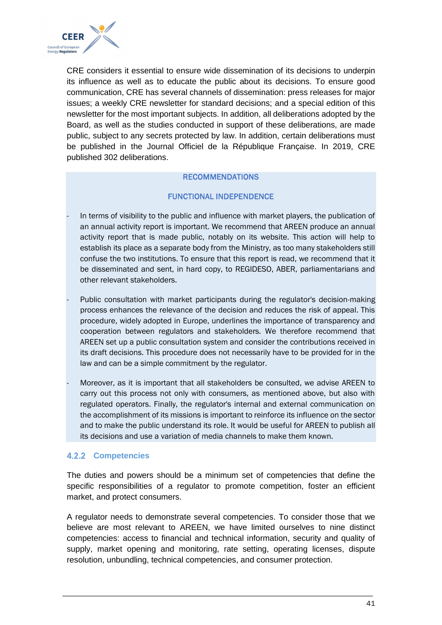

CRE considers it essential to ensure wide dissemination of its decisions to underpin its influence as well as to educate the public about its decisions. To ensure good communication, CRE has several channels of dissemination: press releases for major issues; a weekly CRE newsletter for standard decisions; and a special edition of this newsletter for the most important subjects. In addition, all deliberations adopted by the Board, as well as the studies conducted in support of these deliberations, are made public, subject to any secrets protected by law. In addition, certain deliberations must be published in the Journal Officiel de la République Française. In 2019, CRE published 302 deliberations.

#### RECOMMENDATIONS

# FUNCTIONAL INDEPENDENCE

- In terms of visibility to the public and influence with market players, the publication of an annual activity report is important. We recommend that AREEN produce an annual activity report that is made public, notably on its website. This action will help to establish its place as a separate body from the Ministry, as too many stakeholders still confuse the two institutions. To ensure that this report is read, we recommend that it be disseminated and sent, in hard copy, to REGIDESO, ABER, parliamentarians and other relevant stakeholders.
- Public consultation with market participants during the regulator's decision-making process enhances the relevance of the decision and reduces the risk of appeal. This procedure, widely adopted in Europe, underlines the importance of transparency and cooperation between regulators and stakeholders. We therefore recommend that AREEN set up a public consultation system and consider the contributions received in its draft decisions. This procedure does not necessarily have to be provided for in the law and can be a simple commitment by the regulator.
- Moreover, as it is important that all stakeholders be consulted, we advise AREEN to carry out this process not only with consumers, as mentioned above, but also with regulated operators. Finally, the regulator's internal and external communication on the accomplishment of its missions is important to reinforce its influence on the sector and to make the public understand its role. It would be useful for AREEN to publish all its decisions and use a variation of media channels to make them known.

# **4.2.2 Competencies**

The duties and powers should be a minimum set of competencies that define the specific responsibilities of a regulator to promote competition, foster an efficient market, and protect consumers.

A regulator needs to demonstrate several competencies. To consider those that we believe are most relevant to AREEN, we have limited ourselves to nine distinct competencies: access to financial and technical information, security and quality of supply, market opening and monitoring, rate setting, operating licenses, dispute resolution, unbundling, technical competencies, and consumer protection.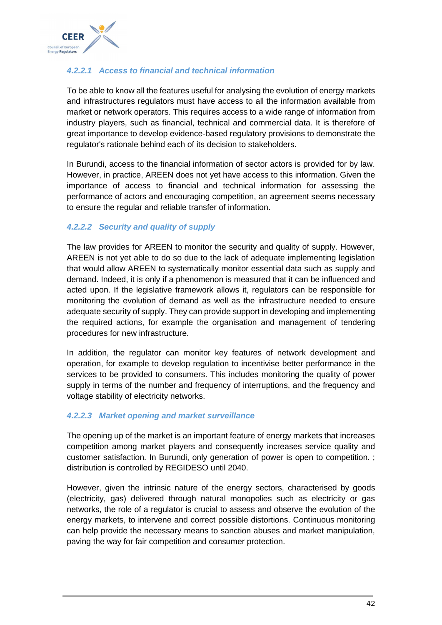

# *4.2.2.1 Access to financial and technical information*

To be able to know all the features useful for analysing the evolution of energy markets and infrastructures regulators must have access to all the information available from market or network operators. This requires access to a wide range of information from industry players, such as financial, technical and commercial data. It is therefore of great importance to develop evidence-based regulatory provisions to demonstrate the regulator's rationale behind each of its decision to stakeholders.

In Burundi, access to the financial information of sector actors is provided for by law. However, in practice, AREEN does not yet have access to this information. Given the importance of access to financial and technical information for assessing the performance of actors and encouraging competition, an agreement seems necessary to ensure the regular and reliable transfer of information.

# *4.2.2.2 Security and quality of supply*

The law provides for AREEN to monitor the security and quality of supply. However, AREEN is not yet able to do so due to the lack of adequate implementing legislation that would allow AREEN to systematically monitor essential data such as supply and demand. Indeed, it is only if a phenomenon is measured that it can be influenced and acted upon. If the legislative framework allows it, regulators can be responsible for monitoring the evolution of demand as well as the infrastructure needed to ensure adequate security of supply. They can provide support in developing and implementing the required actions, for example the organisation and management of tendering procedures for new infrastructure.

In addition, the regulator can monitor key features of network development and operation, for example to develop regulation to incentivise better performance in the services to be provided to consumers. This includes monitoring the quality of power supply in terms of the number and frequency of interruptions, and the frequency and voltage stability of electricity networks.

# *4.2.2.3 Market opening and market surveillance*

The opening up of the market is an important feature of energy markets that increases competition among market players and consequently increases service quality and customer satisfaction. In Burundi, only generation of power is open to competition. ; distribution is controlled by REGIDESO until 2040.

However, given the intrinsic nature of the energy sectors, characterised by goods (electricity, gas) delivered through natural monopolies such as electricity or gas networks, the role of a regulator is crucial to assess and observe the evolution of the energy markets, to intervene and correct possible distortions. Continuous monitoring can help provide the necessary means to sanction abuses and market manipulation, paving the way for fair competition and consumer protection.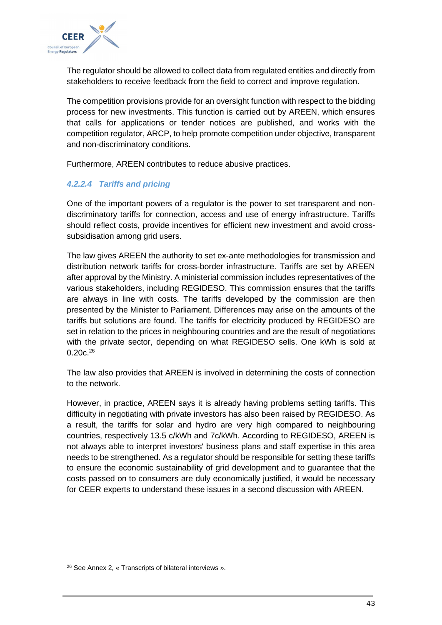

The regulator should be allowed to collect data from regulated entities and directly from stakeholders to receive feedback from the field to correct and improve regulation.

The competition provisions provide for an oversight function with respect to the bidding process for new investments. This function is carried out by AREEN, which ensures that calls for applications or tender notices are published, and works with the competition regulator, ARCP, to help promote competition under objective, transparent and non-discriminatory conditions.

Furthermore, AREEN contributes to reduce abusive practices.

# *4.2.2.4 Tariffs and pricing*

One of the important powers of a regulator is the power to set transparent and nondiscriminatory tariffs for connection, access and use of energy infrastructure. Tariffs should reflect costs, provide incentives for efficient new investment and avoid crosssubsidisation among grid users.

The law gives AREEN the authority to set ex-ante methodologies for transmission and distribution network tariffs for cross-border infrastructure. Tariffs are set by AREEN after approval by the Ministry. A ministerial commission includes representatives of the various stakeholders, including REGIDESO. This commission ensures that the tariffs are always in line with costs. The tariffs developed by the commission are then presented by the Minister to Parliament. Differences may arise on the amounts of the tariffs but solutions are found. The tariffs for electricity produced by REGIDESO are set in relation to the prices in neighbouring countries and are the result of negotiations with the private sector, depending on what REGIDESO sells. One kWh is sold at 0.20c.<sup>26</sup>

The law also provides that AREEN is involved in determining the costs of connection to the network.

However, in practice, AREEN says it is already having problems setting tariffs. This difficulty in negotiating with private investors has also been raised by REGIDESO. As a result, the tariffs for solar and hydro are very high compared to neighbouring countries, respectively 13.5 c/kWh and 7c/kWh. According to REGIDESO, AREEN is not always able to interpret investors' business plans and staff expertise in this area needs to be strengthened. As a regulator should be responsible for setting these tariffs to ensure the economic sustainability of grid development and to guarantee that the costs passed on to consumers are duly economically justified, it would be necessary for CEER experts to understand these issues in a second discussion with AREEN.

<sup>26</sup> See Annex 2, « Transcripts of bilateral interviews ».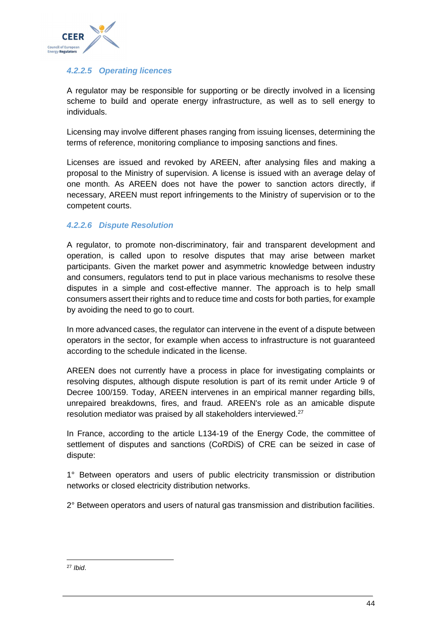

# *4.2.2.5 Operating licences*

A regulator may be responsible for supporting or be directly involved in a licensing scheme to build and operate energy infrastructure, as well as to sell energy to individuals.

Licensing may involve different phases ranging from issuing licenses, determining the terms of reference, monitoring compliance to imposing sanctions and fines.

Licenses are issued and revoked by AREEN, after analysing files and making a proposal to the Ministry of supervision. A license is issued with an average delay of one month. As AREEN does not have the power to sanction actors directly, if necessary, AREEN must report infringements to the Ministry of supervision or to the competent courts.

# *4.2.2.6 Dispute Resolution*

A regulator, to promote non-discriminatory, fair and transparent development and operation, is called upon to resolve disputes that may arise between market participants. Given the market power and asymmetric knowledge between industry and consumers, regulators tend to put in place various mechanisms to resolve these disputes in a simple and cost-effective manner. The approach is to help small consumers assert their rights and to reduce time and costs for both parties, for example by avoiding the need to go to court.

In more advanced cases, the regulator can intervene in the event of a dispute between operators in the sector, for example when access to infrastructure is not guaranteed according to the schedule indicated in the license.

AREEN does not currently have a process in place for investigating complaints or resolving disputes, although dispute resolution is part of its remit under Article 9 of Decree 100/159. Today, AREEN intervenes in an empirical manner regarding bills, unrepaired breakdowns, fires, and fraud. AREEN's role as an amicable dispute resolution mediator was praised by all stakeholders interviewed.<sup>27</sup>

In France, according to the article L134-19 of the Energy Code, the committee of settlement of disputes and sanctions (CoRDiS) of CRE can be seized in case of dispute:

1° Between operators and users of public electricity transmission or distribution networks or closed electricity distribution networks.

2° Between operators and users of natural gas transmission and distribution facilities.

<sup>27</sup> *Ibid*.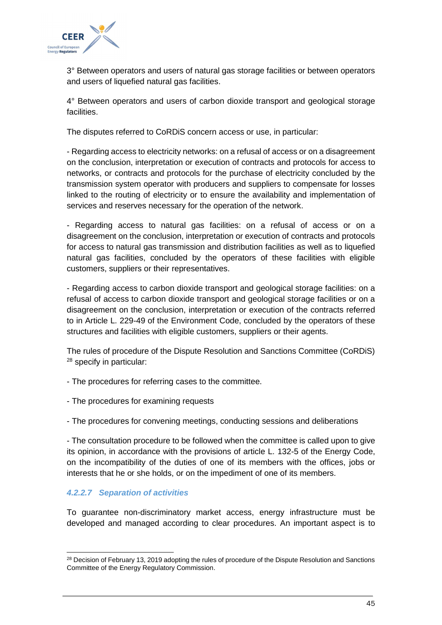

3° Between operators and users of natural gas storage facilities or between operators and users of liquefied natural gas facilities.

4° Between operators and users of carbon dioxide transport and geological storage facilities.

The disputes referred to CoRDiS concern access or use, in particular:

- Regarding access to electricity networks: on a refusal of access or on a disagreement on the conclusion, interpretation or execution of contracts and protocols for access to networks, or contracts and protocols for the purchase of electricity concluded by the transmission system operator with producers and suppliers to compensate for losses linked to the routing of electricity or to ensure the availability and implementation of services and reserves necessary for the operation of the network.

- Regarding access to natural gas facilities: on a refusal of access or on a disagreement on the conclusion, interpretation or execution of contracts and protocols for access to natural gas transmission and distribution facilities as well as to liquefied natural gas facilities, concluded by the operators of these facilities with eligible customers, suppliers or their representatives.

- Regarding access to carbon dioxide transport and geological storage facilities: on a refusal of access to carbon dioxide transport and geological storage facilities or on a disagreement on the conclusion, interpretation or execution of the contracts referred to in Article L. 229-49 of the Environment Code, concluded by the operators of these structures and facilities with eligible customers, suppliers or their agents.

The rules of procedure of the Dispute Resolution and Sanctions Committee (CoRDiS) <sup>28</sup> specify in particular:

- The procedures for referring cases to the committee.

- The procedures for examining requests

- The procedures for convening meetings, conducting sessions and deliberations

- The consultation procedure to be followed when the committee is called upon to give its opinion, in accordance with the provisions of article L. 132-5 of the Energy Code, on the incompatibility of the duties of one of its members with the offices, jobs or interests that he or she holds, or on the impediment of one of its members.

# *4.2.2.7 Separation of activities*

To guarantee non-discriminatory market access, energy infrastructure must be developed and managed according to clear procedures. An important aspect is to

<sup>&</sup>lt;sup>28</sup> Decision of February 13, 2019 adopting the rules of procedure of the Dispute Resolution and Sanctions Committee of the Energy Regulatory Commission.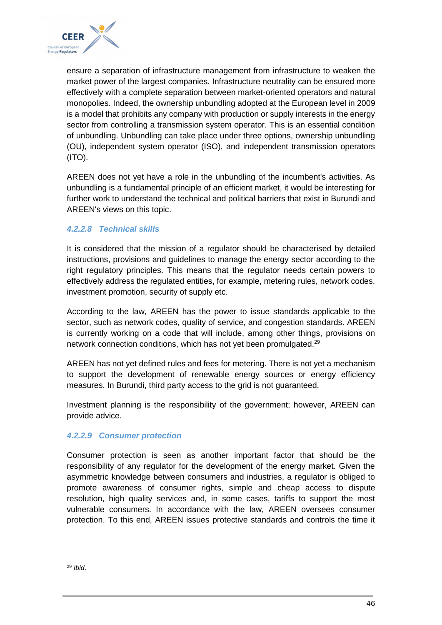

ensure a separation of infrastructure management from infrastructure to weaken the market power of the largest companies. Infrastructure neutrality can be ensured more effectively with a complete separation between market-oriented operators and natural monopolies. Indeed, the ownership unbundling adopted at the European level in 2009 is a model that prohibits any company with production or supply interests in the energy sector from controlling a transmission system operator. This is an essential condition of unbundling. Unbundling can take place under three options, ownership unbundling (OU), independent system operator (ISO), and independent transmission operators  $(ITO).$ 

AREEN does not yet have a role in the unbundling of the incumbent's activities. As unbundling is a fundamental principle of an efficient market, it would be interesting for further work to understand the technical and political barriers that exist in Burundi and AREEN's views on this topic.

# *4.2.2.8 Technical skills*

It is considered that the mission of a regulator should be characterised by detailed instructions, provisions and guidelines to manage the energy sector according to the right regulatory principles. This means that the regulator needs certain powers to effectively address the regulated entities, for example, metering rules, network codes, investment promotion, security of supply etc.

According to the law, AREEN has the power to issue standards applicable to the sector, such as network codes, quality of service, and congestion standards. AREEN is currently working on a code that will include, among other things, provisions on network connection conditions, which has not yet been promulgated.<sup>29</sup>

AREEN has not yet defined rules and fees for metering. There is not yet a mechanism to support the development of renewable energy sources or energy efficiency measures. In Burundi, third party access to the grid is not guaranteed.

Investment planning is the responsibility of the government; however, AREEN can provide advice.

#### *4.2.2.9 Consumer protection*

Consumer protection is seen as another important factor that should be the responsibility of any regulator for the development of the energy market. Given the asymmetric knowledge between consumers and industries, a regulator is obliged to promote awareness of consumer rights, simple and cheap access to dispute resolution, high quality services and, in some cases, tariffs to support the most vulnerable consumers. In accordance with the law, AREEN oversees consumer protection. To this end, AREEN issues protective standards and controls the time it

<sup>29</sup> *Ibid*.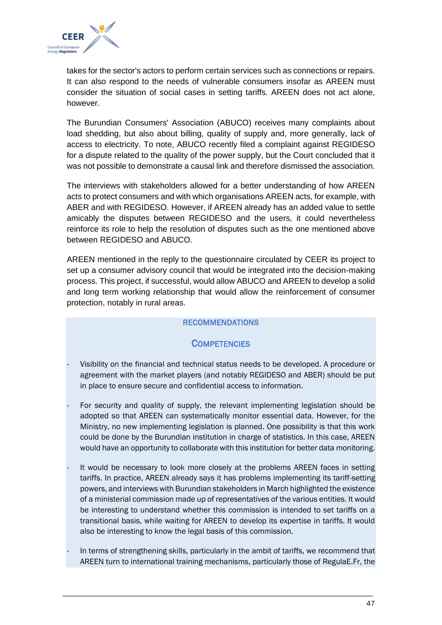

takes for the sector's actors to perform certain services such as connections or repairs. It can also respond to the needs of vulnerable consumers insofar as AREEN must consider the situation of social cases in setting tariffs. AREEN does not act alone, however.

The Burundian Consumers' Association (ABUCO) receives many complaints about load shedding, but also about billing, quality of supply and, more generally, lack of access to electricity. To note, ABUCO recently filed a complaint against REGIDESO for a dispute related to the quality of the power supply, but the Court concluded that it was not possible to demonstrate a causal link and therefore dismissed the association.

The interviews with stakeholders allowed for a better understanding of how AREEN acts to protect consumers and with which organisations AREEN acts, for example, with ABER and with REGIDESO. However, if AREEN already has an added value to settle amicably the disputes between REGIDESO and the users, it could nevertheless reinforce its role to help the resolution of disputes such as the one mentioned above between REGIDESO and ABUCO.

AREEN mentioned in the reply to the questionnaire circulated by CEER its project to set up a consumer advisory council that would be integrated into the decision-making process. This project, if successful, would allow ABUCO and AREEN to develop a solid and long term working relationship that would allow the reinforcement of consumer protection, notably in rural areas.

# RECOMMENDATIONS

# **COMPETENCIES**

- Visibility on the financial and technical status needs to be developed. A procedure or agreement with the market players (and notably REGIDESO and ABER) should be put in place to ensure secure and confidential access to information.
- For security and quality of supply, the relevant implementing legislation should be adopted so that AREEN can systematically monitor essential data. However, for the Ministry, no new implementing legislation is planned. One possibility is that this work could be done by the Burundian institution in charge of statistics. In this case, AREEN would have an opportunity to collaborate with this institution for better data monitoring.
- It would be necessary to look more closely at the problems AREEN faces in setting tariffs. In practice, AREEN already says it has problems implementing its tariff-setting powers, and interviews with Burundian stakeholders in March highlighted the existence of a ministerial commission made up of representatives of the various entities. It would be interesting to understand whether this commission is intended to set tariffs on a transitional basis, while waiting for AREEN to develop its expertise in tariffs. It would also be interesting to know the legal basis of this commission.
- In terms of strengthening skills, particularly in the ambit of tariffs, we recommend that AREEN turn to international training mechanisms, particularly those of RegulaE.Fr, the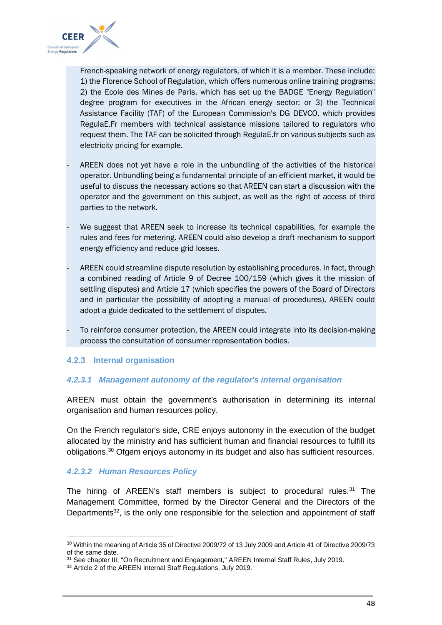

French-speaking network of energy regulators, of which it is a member. These include: 1) the Florence School of Regulation, which offers numerous online training programs; 2) the Ecole des Mines de Paris, which has set up the BADGE "Energy Regulation" degree program for executives in the African energy sector; or 3) the Technical Assistance Facility (TAF) of the European Commission's DG DEVCO, which provides RegulaE.Fr members with technical assistance missions tailored to regulators who request them. The TAF can be solicited through RegulaE.fr on various subjects such as electricity pricing for example.

- AREEN does not yet have a role in the unbundling of the activities of the historical operator. Unbundling being a fundamental principle of an efficient market, it would be useful to discuss the necessary actions so that AREEN can start a discussion with the operator and the government on this subject, as well as the right of access of third parties to the network.
- We suggest that AREEN seek to increase its technical capabilities, for example the rules and fees for metering. AREEN could also develop a draft mechanism to support energy efficiency and reduce grid losses.
- AREEN could streamline dispute resolution by establishing procedures. In fact, through a combined reading of Article 9 of Decree 100/159 (which gives it the mission of settling disputes) and Article 17 (which specifies the powers of the Board of Directors and in particular the possibility of adopting a manual of procedures), AREEN could adopt a guide dedicated to the settlement of disputes.
- To reinforce consumer protection, the AREEN could integrate into its decision-making process the consultation of consumer representation bodies.

#### **Internal organisation**

#### *4.2.3.1 Management autonomy of the regulator's internal organisation*

AREEN must obtain the government's authorisation in determining its internal organisation and human resources policy.

On the French regulator's side, CRE enjoys autonomy in the execution of the budget allocated by the ministry and has sufficient human and financial resources to fulfill its obligations. $30$  Ofgem enjoys autonomy in its budget and also has sufficient resources.

#### *4.2.3.2 Human Resources Policy*

The hiring of AREEN's staff members is subject to procedural rules.<sup>31</sup> The Management Committee, formed by the Director General and the Directors of the Departments<sup>32</sup>, is the only one responsible for the selection and appointment of staff

<sup>30</sup> Within the meaning of Article 35 of Directive 2009/72 of 13 July 2009 and Article 41 of Directive 2009/73 of the same date.

<sup>31</sup> See chapter III, "On Recruitment and Engagement," AREEN Internal Staff Rules, July 2019.

<sup>&</sup>lt;sup>32</sup> Article 2 of the AREEN Internal Staff Regulations, July 2019.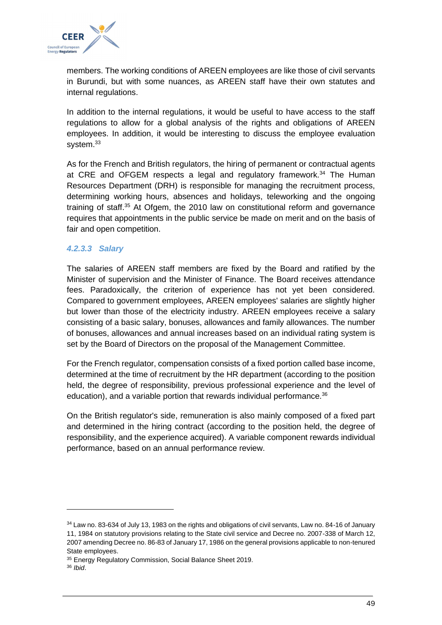

members. The working conditions of AREEN employees are like those of civil servants in Burundi, but with some nuances, as AREEN staff have their own statutes and internal regulations.

In addition to the internal regulations, it would be useful to have access to the staff regulations to allow for a global analysis of the rights and obligations of AREEN employees. In addition, it would be interesting to discuss the employee evaluation system.<sup>33</sup>

As for the French and British regulators, the hiring of permanent or contractual agents at CRE and OFGEM respects a legal and regulatory framework.<sup>34</sup> The Human Resources Department (DRH) is responsible for managing the recruitment process, determining working hours, absences and holidays, teleworking and the ongoing training of staff.<sup>35</sup> At Ofgem, the 2010 law on constitutional reform and governance requires that appointments in the public service be made on merit and on the basis of fair and open competition.

# *4.2.3.3 Salary*

The salaries of AREEN staff members are fixed by the Board and ratified by the Minister of supervision and the Minister of Finance. The Board receives attendance fees. Paradoxically, the criterion of experience has not yet been considered. Compared to government employees, AREEN employees' salaries are slightly higher but lower than those of the electricity industry. AREEN employees receive a salary consisting of a basic salary, bonuses, allowances and family allowances. The number of bonuses, allowances and annual increases based on an individual rating system is set by the Board of Directors on the proposal of the Management Committee.

For the French regulator, compensation consists of a fixed portion called base income, determined at the time of recruitment by the HR department (according to the position held, the degree of responsibility, previous professional experience and the level of education), and a variable portion that rewards individual performance.<sup>36</sup>

On the British regulator's side, remuneration is also mainly composed of a fixed part and determined in the hiring contract (according to the position held, the degree of responsibility, and the experience acquired). A variable component rewards individual performance, based on an annual performance review.

<sup>&</sup>lt;sup>34</sup> Law no. 83-634 of July 13, 1983 on the rights and obligations of civil servants, Law no. 84-16 of January 11, 1984 on statutory provisions relating to the State civil service and Decree no. 2007-338 of March 12, 2007 amending Decree no. 86-83 of January 17, 1986 on the general provisions applicable to non-tenured State employees.

<sup>&</sup>lt;sup>35</sup> Energy Regulatory Commission, Social Balance Sheet 2019.

<sup>36</sup> *Ibid*.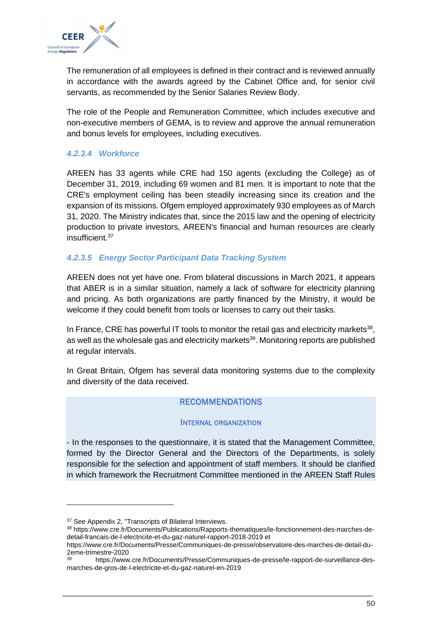

The remuneration of all employees is defined in their contract and is reviewed annually in accordance with the awards agreed by the Cabinet Office and, for senior civil servants, as recommended by the Senior Salaries Review Body.

The role of the People and Remuneration Committee, which includes executive and non-executive members of GEMA, is to review and approve the annual remuneration and bonus levels for employees, including executives.

# *4.2.3.4 Workforce*

AREEN has 33 agents while CRE had 150 agents (excluding the College) as of December 31, 2019, including 69 women and 81 men. It is important to note that the CRE's employment ceiling has been steadily increasing since its creation and the expansion of its missions. Ofgem employed approximately 930 employees as of March 31, 2020. The Ministry indicates that, since the 2015 law and the opening of electricity production to private investors, AREEN's financial and human resources are clearly insufficient.<sup>37</sup>

# *4.2.3.5 Energy Sector Participant Data Tracking System*

AREEN does not yet have one. From bilateral discussions in March 2021, it appears that ABER is in a similar situation, namely a lack of software for electricity planning and pricing. As both organizations are partly financed by the Ministry, it would be welcome if they could benefit from tools or licenses to carry out their tasks.

In France, CRE has powerful IT tools to monitor the retail gas and electricity markets<sup>38</sup>, as well as the wholesale gas and electricity markets $39$ . Monitoring reports are published at regular intervals.

In Great Britain, Ofgem has several data monitoring systems due to the complexity and diversity of the data received.

# RECOMMENDATIONS

#### INTERNAL ORGANIZATION

- In the responses to the questionnaire, it is stated that the Management Committee, formed by the Director General and the Directors of the Departments, is solely responsible for the selection and appointment of staff members. It should be clarified in which framework the Recruitment Committee mentioned in the AREEN Staff Rules

<sup>37</sup> See Appendix 2, "Transcripts of Bilateral Interviews.

<sup>38</sup> https://www.cre.fr/Documents/Publications/Rapports-thematiques/le-fonctionnement-des-marches-dedetail-francais-de-l-electricite-et-du-gaz-naturel-rapport-2018-2019 et

https://www.cre.fr/Documents/Presse/Communiques-de-presse/observatoire-des-marches-de-detail-du-2eme-trimestre-2020

<sup>39</sup> https://www.cre.fr/Documents/Presse/Communiques-de-presse/le-rapport-de-surveillance-desmarches-de-gros-de-l-electricite-et-du-gaz-naturel-en-2019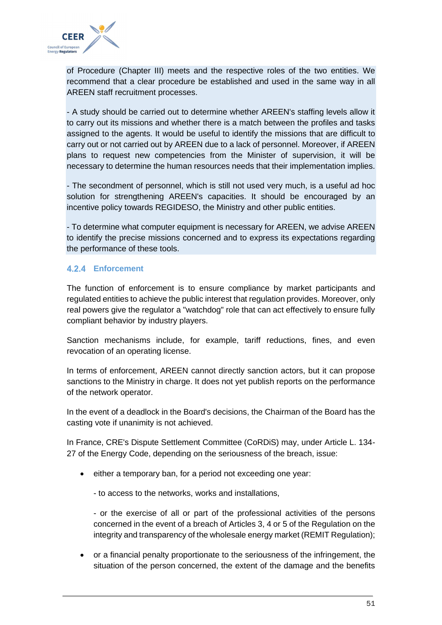

of Procedure (Chapter III) meets and the respective roles of the two entities. We recommend that a clear procedure be established and used in the same way in all AREEN staff recruitment processes.

- A study should be carried out to determine whether AREEN's staffing levels allow it to carry out its missions and whether there is a match between the profiles and tasks assigned to the agents. It would be useful to identify the missions that are difficult to carry out or not carried out by AREEN due to a lack of personnel. Moreover, if AREEN plans to request new competencies from the Minister of supervision, it will be necessary to determine the human resources needs that their implementation implies.

- The secondment of personnel, which is still not used very much, is a useful ad hoc solution for strengthening AREEN's capacities. It should be encouraged by an incentive policy towards REGIDESO, the Ministry and other public entities.

- To determine what computer equipment is necessary for AREEN, we advise AREEN to identify the precise missions concerned and to express its expectations regarding the performance of these tools.

# **Enforcement**

The function of enforcement is to ensure compliance by market participants and regulated entities to achieve the public interest that regulation provides. Moreover, only real powers give the regulator a "watchdog" role that can act effectively to ensure fully compliant behavior by industry players.

Sanction mechanisms include, for example, tariff reductions, fines, and even revocation of an operating license.

In terms of enforcement, AREEN cannot directly sanction actors, but it can propose sanctions to the Ministry in charge. It does not yet publish reports on the performance of the network operator.

In the event of a deadlock in the Board's decisions, the Chairman of the Board has the casting vote if unanimity is not achieved.

In France, CRE's Dispute Settlement Committee (CoRDiS) may, under Article L. 134- 27 of the Energy Code, depending on the seriousness of the breach, issue:

either a temporary ban, for a period not exceeding one year:

- to access to the networks, works and installations,

- or the exercise of all or part of the professional activities of the persons concerned in the event of a breach of Articles 3, 4 or 5 of the Regulation on the integrity and transparency of the wholesale energy market (REMIT Regulation);

• or a financial penalty proportionate to the seriousness of the infringement, the situation of the person concerned, the extent of the damage and the benefits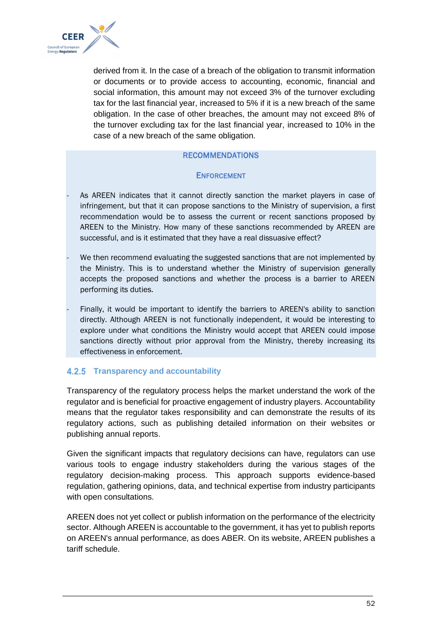

derived from it. In the case of a breach of the obligation to transmit information or documents or to provide access to accounting, economic, financial and social information, this amount may not exceed 3% of the turnover excluding tax for the last financial year, increased to 5% if it is a new breach of the same obligation. In the case of other breaches, the amount may not exceed 8% of the turnover excluding tax for the last financial year, increased to 10% in the case of a new breach of the same obligation.

#### RECOMMENDATIONS

#### ENFORCEMENT

- As AREEN indicates that it cannot directly sanction the market players in case of infringement, but that it can propose sanctions to the Ministry of supervision, a first recommendation would be to assess the current or recent sanctions proposed by AREEN to the Ministry. How many of these sanctions recommended by AREEN are successful, and is it estimated that they have a real dissuasive effect?
- We then recommend evaluating the suggested sanctions that are not implemented by the Ministry. This is to understand whether the Ministry of supervision generally accepts the proposed sanctions and whether the process is a barrier to AREEN performing its duties.
- Finally, it would be important to identify the barriers to AREEN's ability to sanction directly. Although AREEN is not functionally independent, it would be interesting to explore under what conditions the Ministry would accept that AREEN could impose sanctions directly without prior approval from the Ministry, thereby increasing its effectiveness in enforcement.

# **4.2.5 Transparency and accountability**

Transparency of the regulatory process helps the market understand the work of the regulator and is beneficial for proactive engagement of industry players. Accountability means that the regulator takes responsibility and can demonstrate the results of its regulatory actions, such as publishing detailed information on their websites or publishing annual reports.

Given the significant impacts that regulatory decisions can have, regulators can use various tools to engage industry stakeholders during the various stages of the regulatory decision-making process. This approach supports evidence-based regulation, gathering opinions, data, and technical expertise from industry participants with open consultations.

AREEN does not yet collect or publish information on the performance of the electricity sector. Although AREEN is accountable to the government, it has yet to publish reports on AREEN's annual performance, as does ABER. On its website, AREEN publishes a tariff schedule.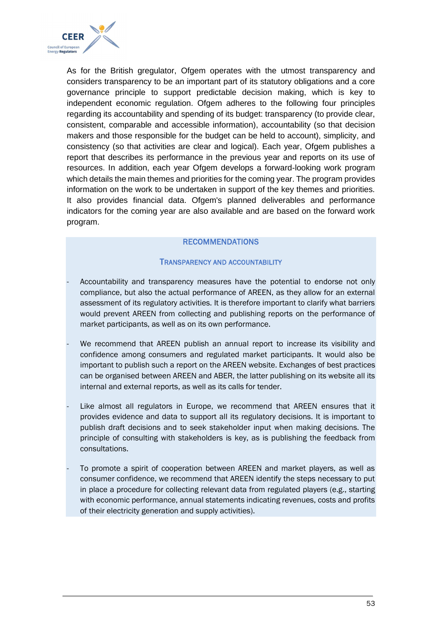

As for the British gregulator, Ofgem operates with the utmost transparency and considers transparency to be an important part of its statutory obligations and a core governance principle to support predictable decision making, which is key to independent economic regulation. Ofgem adheres to the following four principles regarding its accountability and spending of its budget: transparency (to provide clear, consistent, comparable and accessible information), accountability (so that decision makers and those responsible for the budget can be held to account), simplicity, and consistency (so that activities are clear and logical). Each year, Ofgem publishes a report that describes its performance in the previous year and reports on its use of resources. In addition, each year Ofgem develops a forward-looking work program which details the main themes and priorities for the coming year. The program provides information on the work to be undertaken in support of the key themes and priorities. It also provides financial data. Ofgem's planned deliverables and performance indicators for the coming year are also available and are based on the forward work program.

#### RECOMMENDATIONS

#### TRANSPARENCY AND ACCOUNTABILITY

- Accountability and transparency measures have the potential to endorse not only compliance, but also the actual performance of AREEN, as they allow for an external assessment of its regulatory activities. It is therefore important to clarify what barriers would prevent AREEN from collecting and publishing reports on the performance of market participants, as well as on its own performance.
- We recommend that AREEN publish an annual report to increase its visibility and confidence among consumers and regulated market participants. It would also be important to publish such a report on the AREEN website. Exchanges of best practices can be organised between AREEN and ABER, the latter publishing on its website all its internal and external reports, as well as its calls for tender.
- Like almost all regulators in Europe, we recommend that AREEN ensures that it provides evidence and data to support all its regulatory decisions. It is important to publish draft decisions and to seek stakeholder input when making decisions. The principle of consulting with stakeholders is key, as is publishing the feedback from consultations.
- To promote a spirit of cooperation between AREEN and market players, as well as consumer confidence, we recommend that AREEN identify the steps necessary to put in place a procedure for collecting relevant data from regulated players (e.g., starting with economic performance, annual statements indicating revenues, costs and profits of their electricity generation and supply activities).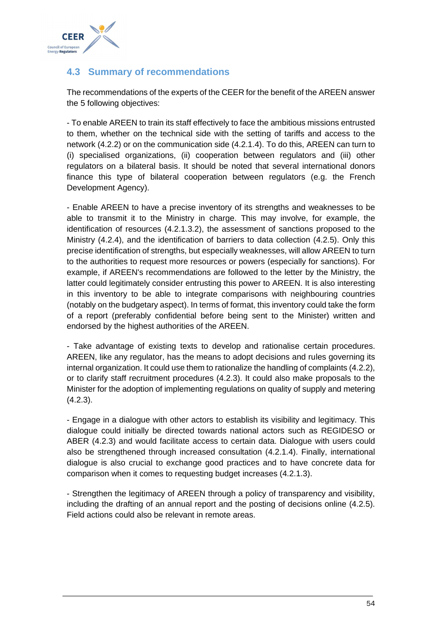

# **4.3 Summary of recommendations**

The recommendations of the experts of the CEER for the benefit of the AREEN answer the 5 following objectives:

- To enable AREEN to train its staff effectively to face the ambitious missions entrusted to them, whether on the technical side with the setting of tariffs and access to the network (4.2.2) or on the communication side (4.2.1.4). To do this, AREEN can turn to (i) specialised organizations, (ii) cooperation between regulators and (iii) other regulators on a bilateral basis. It should be noted that several international donors finance this type of bilateral cooperation between regulators (e.g. the French Development Agency).

- Enable AREEN to have a precise inventory of its strengths and weaknesses to be able to transmit it to the Ministry in charge. This may involve, for example, the identification of resources (4.2.1.3.2), the assessment of sanctions proposed to the Ministry (4.2.4), and the identification of barriers to data collection (4.2.5). Only this precise identification of strengths, but especially weaknesses, will allow AREEN to turn to the authorities to request more resources or powers (especially for sanctions). For example, if AREEN's recommendations are followed to the letter by the Ministry, the latter could legitimately consider entrusting this power to AREEN. It is also interesting in this inventory to be able to integrate comparisons with neighbouring countries (notably on the budgetary aspect). In terms of format, this inventory could take the form of a report (preferably confidential before being sent to the Minister) written and endorsed by the highest authorities of the AREEN.

- Take advantage of existing texts to develop and rationalise certain procedures. AREEN, like any regulator, has the means to adopt decisions and rules governing its internal organization. It could use them to rationalize the handling of complaints (4.2.2), or to clarify staff recruitment procedures (4.2.3). It could also make proposals to the Minister for the adoption of implementing regulations on quality of supply and metering (4.2.3).

- Engage in a dialogue with other actors to establish its visibility and legitimacy. This dialogue could initially be directed towards national actors such as REGIDESO or ABER (4.2.3) and would facilitate access to certain data. Dialogue with users could also be strengthened through increased consultation (4.2.1.4). Finally, international dialogue is also crucial to exchange good practices and to have concrete data for comparison when it comes to requesting budget increases (4.2.1.3).

- Strengthen the legitimacy of AREEN through a policy of transparency and visibility, including the drafting of an annual report and the posting of decisions online (4.2.5). Field actions could also be relevant in remote areas.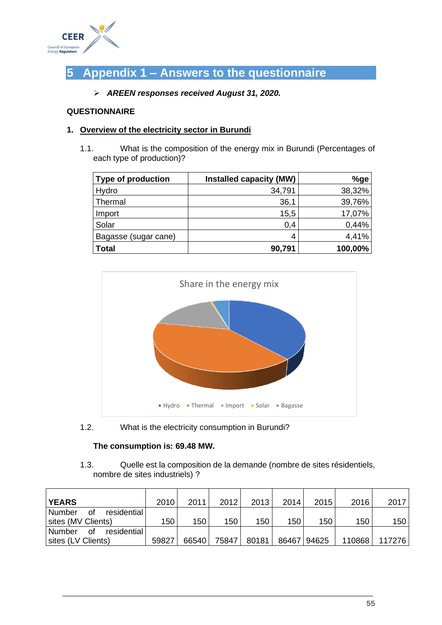

# **5 Appendix 1 – Answers to the questionnaire**

➢ *AREEN responses received August 31, 2020.*

# **QUESTIONNAIRE**

#### **1. Overview of the electricity sector in Burundi**

1.1. What is the composition of the energy mix in Burundi (Percentages of each type of production)?

| <b>Type of production</b> | Installed capacity (MW) | %ge     |
|---------------------------|-------------------------|---------|
| Hydro                     | 34,791                  | 38,32%  |
| Thermal                   | 36,1                    | 39,76%  |
| Import                    | 15,5                    | 17,07%  |
| Solar                     | 0,4                     | 0,44%   |
| Bagasse (sugar cane)      |                         | 4,41%   |
| <b>Total</b>              | 90,791                  | 100,00% |



1.2. What is the electricity consumption in Burundi?

#### **The consumption is: 69.48 MW.**

1.3. Quelle est la composition de la demande (nombre de sites résidentiels, nombre de sites industriels) ?

| <b>YEARS</b>                | 2010  | 2011  | 2012  | 2013  | 2014        | 2015 | 2016   | 2017             |
|-----------------------------|-------|-------|-------|-------|-------------|------|--------|------------------|
| residential<br>Number<br>οf |       |       |       |       |             |      |        |                  |
| sites (MV Clients)          | 150   | 150   | 150   | 150   | 150         | 150  | 150    | 150 <sub>1</sub> |
| Number<br>residential<br>οf |       |       |       |       |             |      |        |                  |
| sites (LV Clients)          | 59827 | 66540 | 75847 | 80181 | 86467 94625 |      | 110868 | 117276           |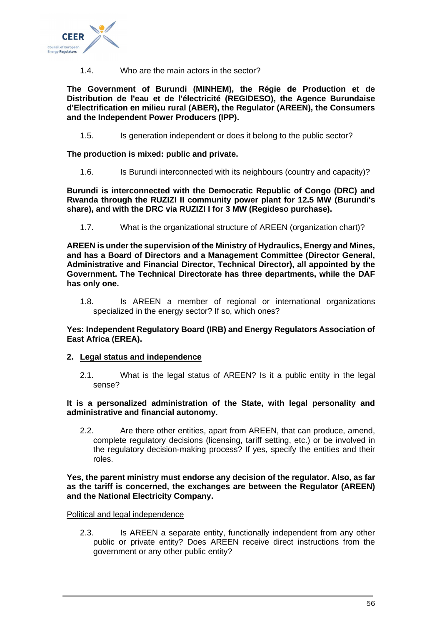

1.4. Who are the main actors in the sector?

**The Government of Burundi (MINHEM), the Régie de Production et de Distribution de l'eau et de l'électricité (REGIDESO), the Agence Burundaise d'Electrification en milieu rural (ABER), the Regulator (AREEN), the Consumers and the Independent Power Producers (IPP).**

1.5. Is generation independent or does it belong to the public sector?

#### **The production is mixed: public and private.**

1.6. Is Burundi interconnected with its neighbours (country and capacity)?

**Burundi is interconnected with the Democratic Republic of Congo (DRC) and Rwanda through the RUZIZI II community power plant for 12.5 MW (Burundi's share), and with the DRC via RUZIZI I for 3 MW (Regideso purchase).**

1.7. What is the organizational structure of AREEN (organization chart)?

**AREEN is under the supervision of the Ministry of Hydraulics, Energy and Mines, and has a Board of Directors and a Management Committee (Director General, Administrative and Financial Director, Technical Director), all appointed by the Government. The Technical Directorate has three departments, while the DAF has only one.**

1.8. Is AREEN a member of regional or international organizations specialized in the energy sector? If so, which ones?

#### **Yes: Independent Regulatory Board (IRB) and Energy Regulators Association of East Africa (EREA).**

#### **2. Legal status and independence**

2.1. What is the legal status of AREEN? Is it a public entity in the legal sense?

#### **It is a personalized administration of the State, with legal personality and administrative and financial autonomy.**

2.2. Are there other entities, apart from AREEN, that can produce, amend, complete regulatory decisions (licensing, tariff setting, etc.) or be involved in the regulatory decision-making process? If yes, specify the entities and their roles.

**Yes, the parent ministry must endorse any decision of the regulator. Also, as far as the tariff is concerned, the exchanges are between the Regulator (AREEN) and the National Electricity Company.**

#### Political and legal independence

2.3. Is AREEN a separate entity, functionally independent from any other public or private entity? Does AREEN receive direct instructions from the government or any other public entity?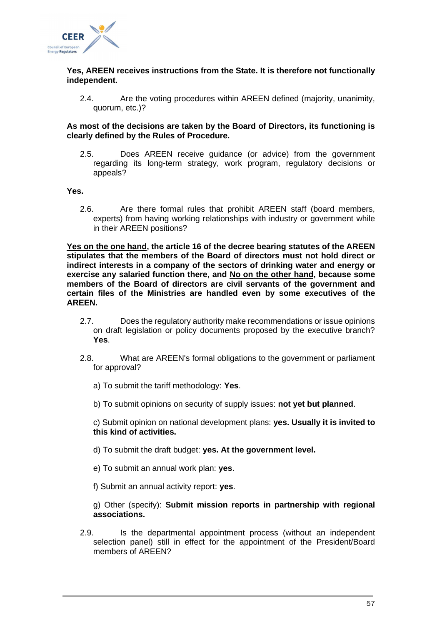

#### **Yes, AREEN receives instructions from the State. It is therefore not functionally independent.**

2.4. Are the voting procedures within AREEN defined (majority, unanimity, quorum, etc.)?

**As most of the decisions are taken by the Board of Directors, its functioning is clearly defined by the Rules of Procedure.**

2.5. Does AREEN receive guidance (or advice) from the government regarding its long-term strategy, work program, regulatory decisions or appeals?

**Yes.**

2.6. Are there formal rules that prohibit AREEN staff (board members, experts) from having working relationships with industry or government while in their AREEN positions?

**Yes on the one hand, the article 16 of the decree bearing statutes of the AREEN stipulates that the members of the Board of directors must not hold direct or indirect interests in a company of the sectors of drinking water and energy or exercise any salaried function there, and No on the other hand, because some members of the Board of directors are civil servants of the government and certain files of the Ministries are handled even by some executives of the AREEN.**

- 2.7. Does the regulatory authority make recommendations or issue opinions on draft legislation or policy documents proposed by the executive branch? **Yes**.
- 2.8. What are AREEN's formal obligations to the government or parliament for approval?
	- a) To submit the tariff methodology: **Yes**.
	- b) To submit opinions on security of supply issues: **not yet but planned**.

c) Submit opinion on national development plans: **yes. Usually it is invited to this kind of activities.**

- d) To submit the draft budget: **yes. At the government level.**
- e) To submit an annual work plan: **yes**.
- f) Submit an annual activity report: **yes**.

g) Other (specify): **Submit mission reports in partnership with regional associations.**

2.9. Is the departmental appointment process (without an independent selection panel) still in effect for the appointment of the President/Board members of AREEN?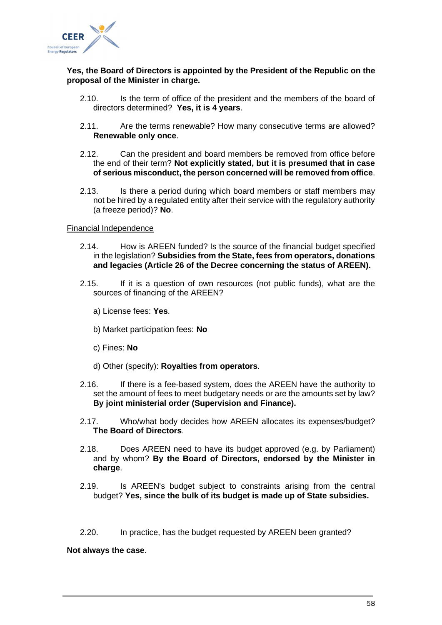

#### **Yes, the Board of Directors is appointed by the President of the Republic on the proposal of the Minister in charge.**

- 2.10. Is the term of office of the president and the members of the board of directors determined? **Yes, it is 4 years**.
- 2.11. Are the terms renewable? How many consecutive terms are allowed? **Renewable only once**.
- 2.12. Can the president and board members be removed from office before the end of their term? **Not explicitly stated, but it is presumed that in case of serious misconduct, the person concerned will be removed from office**.
- 2.13. Is there a period during which board members or staff members may not be hired by a regulated entity after their service with the regulatory authority (a freeze period)? **No**.

#### Financial Independence

- 2.14. How is AREEN funded? Is the source of the financial budget specified in the legislation? **Subsidies from the State, fees from operators, donations and legacies (Article 26 of the Decree concerning the status of AREEN).**
- 2.15. If it is a question of own resources (not public funds), what are the sources of financing of the AREEN?
	- a) License fees: **Yes**.
	- b) Market participation fees: **No**
	- c) Fines: **No**
	- d) Other (specify): **Royalties from operators**.
- 2.16. If there is a fee-based system, does the AREEN have the authority to set the amount of fees to meet budgetary needs or are the amounts set by law? **By joint ministerial order (Supervision and Finance).**
- 2.17. Who/what body decides how AREEN allocates its expenses/budget? **The Board of Directors**.
- 2.18. Does AREEN need to have its budget approved (e.g. by Parliament) and by whom? **By the Board of Directors, endorsed by the Minister in charge**.
- 2.19. Is AREEN's budget subject to constraints arising from the central budget? **Yes, since the bulk of its budget is made up of State subsidies.**
- 2.20. In practice, has the budget requested by AREEN been granted?

#### **Not always the case**.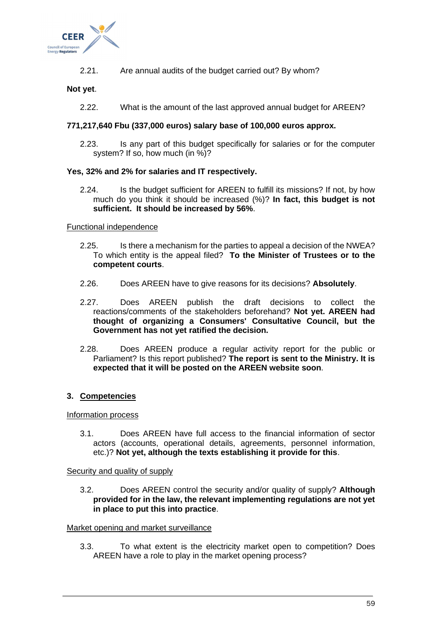

2.21. Are annual audits of the budget carried out? By whom?

### **Not yet**.

2.22. What is the amount of the last approved annual budget for AREEN?

# **771,217,640 Fbu (337,000 euros) salary base of 100,000 euros approx.**

2.23. Is any part of this budget specifically for salaries or for the computer system? If so, how much (in %)?

#### **Yes, 32% and 2% for salaries and IT respectively.**

2.24. Is the budget sufficient for AREEN to fulfill its missions? If not, by how much do you think it should be increased (%)? **In fact, this budget is not sufficient. It should be increased by 56%**.

#### Functional independence

- 2.25. Is there a mechanism for the parties to appeal a decision of the NWEA? To which entity is the appeal filed? **To the Minister of Trustees or to the competent courts**.
- 2.26. Does AREEN have to give reasons for its decisions? **Absolutely**.
- 2.27. Does AREEN publish the draft decisions to collect the reactions/comments of the stakeholders beforehand? **Not yet. AREEN had thought of organizing a Consumers' Consultative Council, but the Government has not yet ratified the decision.**
- 2.28. Does AREEN produce a regular activity report for the public or Parliament? Is this report published? **The report is sent to the Ministry. It is expected that it will be posted on the AREEN website soon**.

#### **3. Competencies**

#### Information process

3.1. Does AREEN have full access to the financial information of sector actors (accounts, operational details, agreements, personnel information, etc.)? **Not yet, although the texts establishing it provide for this**.

#### Security and quality of supply

3.2. Does AREEN control the security and/or quality of supply? **Although provided for in the law, the relevant implementing regulations are not yet in place to put this into practice**.

#### Market opening and market surveillance

3.3. To what extent is the electricity market open to competition? Does AREEN have a role to play in the market opening process?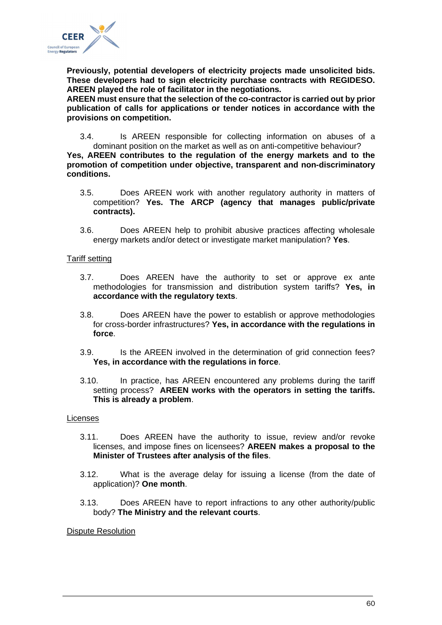

**Previously, potential developers of electricity projects made unsolicited bids. These developers had to sign electricity purchase contracts with REGIDESO. AREEN played the role of facilitator in the negotiations.**

**AREEN must ensure that the selection of the co-contractor is carried out by prior publication of calls for applications or tender notices in accordance with the provisions on competition.** 

3.4. Is AREEN responsible for collecting information on abuses of a dominant position on the market as well as on anti-competitive behaviour? **Yes, AREEN contributes to the regulation of the energy markets and to the promotion of competition under objective, transparent and non-discriminatory conditions.**

- 3.5. Does AREEN work with another regulatory authority in matters of competition? **Yes. The ARCP (agency that manages public/private contracts).**
- 3.6. Does AREEN help to prohibit abusive practices affecting wholesale energy markets and/or detect or investigate market manipulation? **Yes**.

#### Tariff setting

- 3.7. Does AREEN have the authority to set or approve ex ante methodologies for transmission and distribution system tariffs? **Yes, in accordance with the regulatory texts**.
- 3.8. Does AREEN have the power to establish or approve methodologies for cross-border infrastructures? **Yes, in accordance with the regulations in force**.
- 3.9. Is the AREEN involved in the determination of grid connection fees? **Yes, in accordance with the regulations in force**.
- 3.10. In practice, has AREEN encountered any problems during the tariff setting process? **AREEN works with the operators in setting the tariffs. This is already a problem**.

#### Licenses

- 3.11. Does AREEN have the authority to issue, review and/or revoke licenses, and impose fines on licensees? **AREEN makes a proposal to the Minister of Trustees after analysis of the files**.
- 3.12. What is the average delay for issuing a license (from the date of application)? **One month**.
- 3.13. Does AREEN have to report infractions to any other authority/public body? **The Ministry and the relevant courts**.

#### Dispute Resolution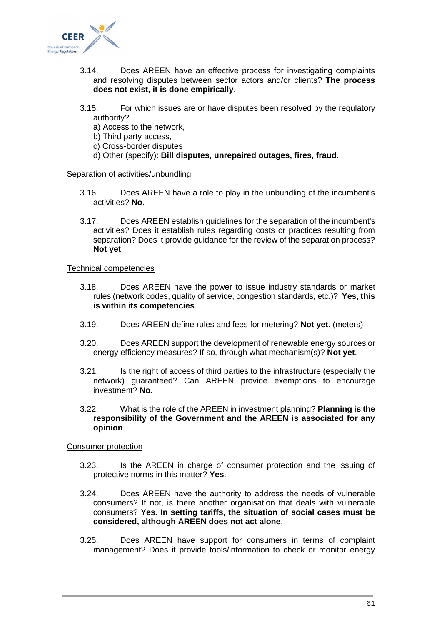

- 3.14. Does AREEN have an effective process for investigating complaints and resolving disputes between sector actors and/or clients? **The process does not exist, it is done empirically**.
- 3.15. For which issues are or have disputes been resolved by the regulatory authority?
	- a) Access to the network,
	- b) Third party access,
	- c) Cross-border disputes
	- d) Other (specify): **Bill disputes, unrepaired outages, fires, fraud**.

#### Separation of activities/unbundling

- 3.16. Does AREEN have a role to play in the unbundling of the incumbent's activities? **No**.
- 3.17. Does AREEN establish guidelines for the separation of the incumbent's activities? Does it establish rules regarding costs or practices resulting from separation? Does it provide guidance for the review of the separation process? **Not yet**.

#### Technical competencies

- 3.18. Does AREEN have the power to issue industry standards or market rules (network codes, quality of service, congestion standards, etc.)? **Yes, this is within its competencies**.
- 3.19. Does AREEN define rules and fees for metering? **Not yet**. (meters)
- 3.20. Does AREEN support the development of renewable energy sources or energy efficiency measures? If so, through what mechanism(s)? **Not yet**.
- 3.21. Is the right of access of third parties to the infrastructure (especially the network) guaranteed? Can AREEN provide exemptions to encourage investment? **No**.
- 3.22. What is the role of the AREEN in investment planning? **Planning is the responsibility of the Government and the AREEN is associated for any opinion**.

#### Consumer protection

- 3.23. Is the AREEN in charge of consumer protection and the issuing of protective norms in this matter? **Yes**.
- 3.24. Does AREEN have the authority to address the needs of vulnerable consumers? If not, is there another organisation that deals with vulnerable consumers? **Yes. In setting tariffs, the situation of social cases must be considered, although AREEN does not act alone**.
- 3.25. Does AREEN have support for consumers in terms of complaint management? Does it provide tools/information to check or monitor energy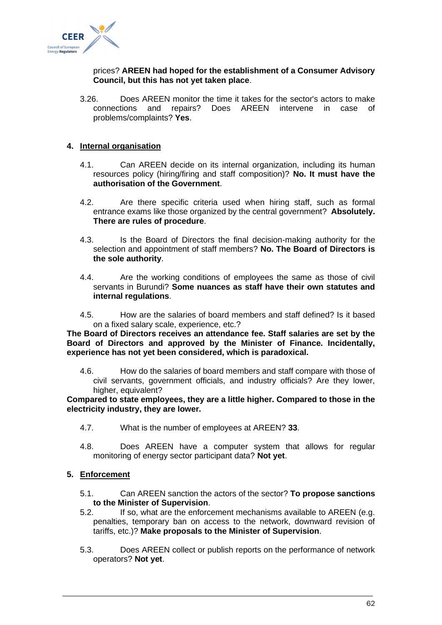

#### prices? **AREEN had hoped for the establishment of a Consumer Advisory Council, but this has not yet taken place**.

3.26. Does AREEN monitor the time it takes for the sector's actors to make connections and repairs? Does AREEN intervene in case of problems/complaints? **Yes**.

# **4. Internal organisation**

- 4.1. Can AREEN decide on its internal organization, including its human resources policy (hiring/firing and staff composition)? **No. It must have the authorisation of the Government**.
- 4.2. Are there specific criteria used when hiring staff, such as formal entrance exams like those organized by the central government? **Absolutely. There are rules of procedure**.
- 4.3. Is the Board of Directors the final decision-making authority for the selection and appointment of staff members? **No. The Board of Directors is the sole authority**.
- 4.4. Are the working conditions of employees the same as those of civil servants in Burundi? **Some nuances as staff have their own statutes and internal regulations**.
- 4.5. How are the salaries of board members and staff defined? Is it based on a fixed salary scale, experience, etc.?

**The Board of Directors receives an attendance fee. Staff salaries are set by the Board of Directors and approved by the Minister of Finance. Incidentally, experience has not yet been considered, which is paradoxical.**

4.6. How do the salaries of board members and staff compare with those of civil servants, government officials, and industry officials? Are they lower, higher, equivalent?

**Compared to state employees, they are a little higher. Compared to those in the electricity industry, they are lower.**

- 4.7. What is the number of employees at AREEN? **33**.
- 4.8. Does AREEN have a computer system that allows for regular monitoring of energy sector participant data? **Not yet**.
- **5. Enforcement**
	- 5.1. Can AREEN sanction the actors of the sector? **To propose sanctions to the Minister of Supervision**.
	- 5.2. If so, what are the enforcement mechanisms available to AREEN (e.g. penalties, temporary ban on access to the network, downward revision of tariffs, etc.)? **Make proposals to the Minister of Supervision**.
	- 5.3. Does AREEN collect or publish reports on the performance of network operators? **Not yet**.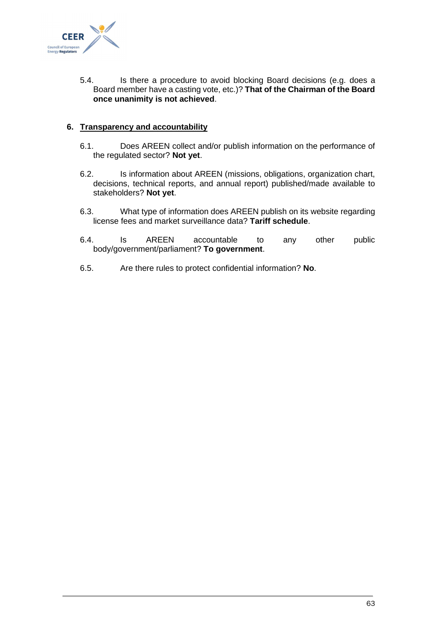

5.4. Is there a procedure to avoid blocking Board decisions (e.g. does a Board member have a casting vote, etc.)? **That of the Chairman of the Board once unanimity is not achieved**.

#### **6. Transparency and accountability**

- 6.1. Does AREEN collect and/or publish information on the performance of the regulated sector? **Not yet**.
- 6.2. Is information about AREEN (missions, obligations, organization chart, decisions, technical reports, and annual report) published/made available to stakeholders? **Not yet**.
- 6.3. What type of information does AREEN publish on its website regarding license fees and market surveillance data? **Tariff schedule**.
- 6.4. Is AREEN accountable to any other public body/government/parliament? **To government**.
- 6.5. Are there rules to protect confidential information? **No**.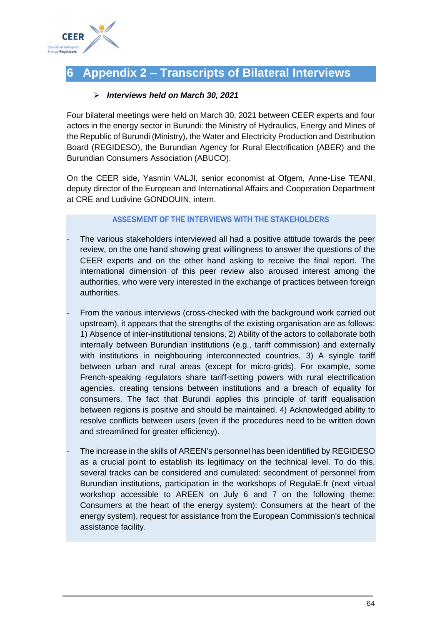

# **6 Appendix 2 – Transcripts of Bilateral Interviews**

# ➢ *Interviews held on March 30, 2021*

Four bilateral meetings were held on March 30, 2021 between CEER experts and four actors in the energy sector in Burundi: the Ministry of Hydraulics, Energy and Mines of the Republic of Burundi (Ministry), the Water and Electricity Production and Distribution Board (REGIDESO), the Burundian Agency for Rural Electrification (ABER) and the Burundian Consumers Association (ABUCO).

On the CEER side, Yasmin VALJI, senior economist at Ofgem, Anne-Lise TEANI, deputy director of the European and International Affairs and Cooperation Department at CRE and Ludivine GONDOUIN, intern.

# ASSESMENT OF THE INTERVIEWS WITH THE STAKEHOLDERS

- The various stakeholders interviewed all had a positive attitude towards the peer review, on the one hand showing great willingness to answer the questions of the CEER experts and on the other hand asking to receive the final report. The international dimension of this peer review also aroused interest among the authorities, who were very interested in the exchange of practices between foreign authorities.
- From the various interviews (cross-checked with the background work carried out upstream), it appears that the strengths of the existing organisation are as follows: 1) Absence of inter-institutional tensions, 2) Ability of the actors to collaborate both internally between Burundian institutions (e.g., tariff commission) and externally with institutions in neighbouring interconnected countries, 3) A syingle tariff between urban and rural areas (except for micro-grids). For example, some French-speaking regulators share tariff-setting powers with rural electrification agencies, creating tensions between institutions and a breach of equality for consumers. The fact that Burundi applies this principle of tariff equalisation between regions is positive and should be maintained. 4) Acknowledged ability to resolve conflicts between users (even if the procedures need to be written down and streamlined for greater efficiency).
- The increase in the skills of AREEN's personnel has been identified by REGIDESO as a crucial point to establish its legitimacy on the technical level. To do this, several tracks can be considered and cumulated: secondment of personnel from Burundian institutions, participation in the workshops of RegulaE.fr (next virtual workshop accessible to AREEN on July 6 and 7 on the following theme: Consumers at the heart of the energy system): Consumers at the heart of the energy system), request for assistance from the European Commission's technical assistance facility.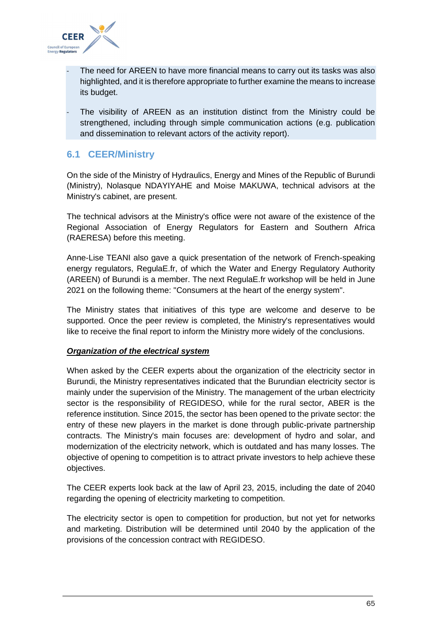

- The need for AREEN to have more financial means to carry out its tasks was also highlighted, and it is therefore appropriate to further examine the means to increase its budget.

The visibility of AREEN as an institution distinct from the Ministry could be strengthened, including through simple communication actions (e.g. publication and dissemination to relevant actors of the activity report).

# **6.1 CEER/Ministry**

On the side of the Ministry of Hydraulics, Energy and Mines of the Republic of Burundi (Ministry), Nolasque NDAYIYAHE and Moise MAKUWA, technical advisors at the Ministry's cabinet, are present.

The technical advisors at the Ministry's office were not aware of the existence of the Regional Association of Energy Regulators for Eastern and Southern Africa (RAERESA) before this meeting.

Anne-Lise TEANI also gave a quick presentation of the network of French-speaking energy regulators, RegulaE.fr, of which the Water and Energy Regulatory Authority (AREEN) of Burundi is a member. The next RegulaE.fr workshop will be held in June 2021 on the following theme: "Consumers at the heart of the energy system".

The Ministry states that initiatives of this type are welcome and deserve to be supported. Once the peer review is completed, the Ministry's representatives would like to receive the final report to inform the Ministry more widely of the conclusions.

#### *Organization of the electrical system*

When asked by the CEER experts about the organization of the electricity sector in Burundi, the Ministry representatives indicated that the Burundian electricity sector is mainly under the supervision of the Ministry. The management of the urban electricity sector is the responsibility of REGIDESO, while for the rural sector, ABER is the reference institution. Since 2015, the sector has been opened to the private sector: the entry of these new players in the market is done through public-private partnership contracts. The Ministry's main focuses are: development of hydro and solar, and modernization of the electricity network, which is outdated and has many losses. The objective of opening to competition is to attract private investors to help achieve these objectives.

The CEER experts look back at the law of April 23, 2015, including the date of 2040 regarding the opening of electricity marketing to competition.

The electricity sector is open to competition for production, but not yet for networks and marketing. Distribution will be determined until 2040 by the application of the provisions of the concession contract with REGIDESO.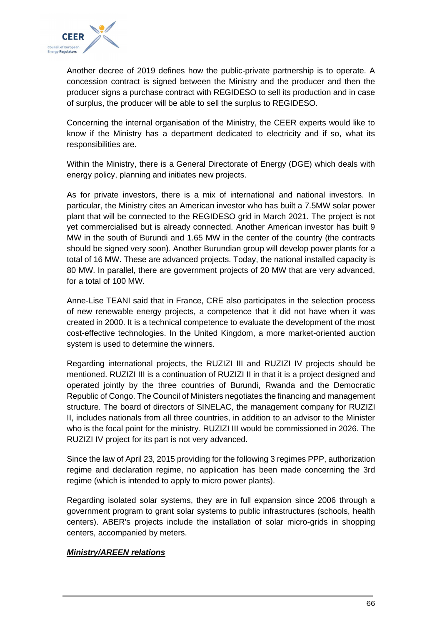

Another decree of 2019 defines how the public-private partnership is to operate. A concession contract is signed between the Ministry and the producer and then the producer signs a purchase contract with REGIDESO to sell its production and in case of surplus, the producer will be able to sell the surplus to REGIDESO.

Concerning the internal organisation of the Ministry, the CEER experts would like to know if the Ministry has a department dedicated to electricity and if so, what its responsibilities are.

Within the Ministry, there is a General Directorate of Energy (DGE) which deals with energy policy, planning and initiates new projects.

As for private investors, there is a mix of international and national investors. In particular, the Ministry cites an American investor who has built a 7.5MW solar power plant that will be connected to the REGIDESO grid in March 2021. The project is not yet commercialised but is already connected. Another American investor has built 9 MW in the south of Burundi and 1.65 MW in the center of the country (the contracts should be signed very soon). Another Burundian group will develop power plants for a total of 16 MW. These are advanced projects. Today, the national installed capacity is 80 MW. In parallel, there are government projects of 20 MW that are very advanced, for a total of 100 MW.

Anne-Lise TEANI said that in France, CRE also participates in the selection process of new renewable energy projects, a competence that it did not have when it was created in 2000. It is a technical competence to evaluate the development of the most cost-effective technologies. In the United Kingdom, a more market-oriented auction system is used to determine the winners.

Regarding international projects, the RUZIZI III and RUZIZI IV projects should be mentioned. RUZIZI III is a continuation of RUZIZI II in that it is a project designed and operated jointly by the three countries of Burundi, Rwanda and the Democratic Republic of Congo. The Council of Ministers negotiates the financing and management structure. The board of directors of SINELAC, the management company for RUZIZI II, includes nationals from all three countries, in addition to an advisor to the Minister who is the focal point for the ministry. RUZIZI III would be commissioned in 2026. The RUZIZI IV project for its part is not very advanced.

Since the law of April 23, 2015 providing for the following 3 regimes PPP, authorization regime and declaration regime, no application has been made concerning the 3rd regime (which is intended to apply to micro power plants).

Regarding isolated solar systems, they are in full expansion since 2006 through a government program to grant solar systems to public infrastructures (schools, health centers). ABER's projects include the installation of solar micro-grids in shopping centers, accompanied by meters.

#### *Ministry/AREEN relations*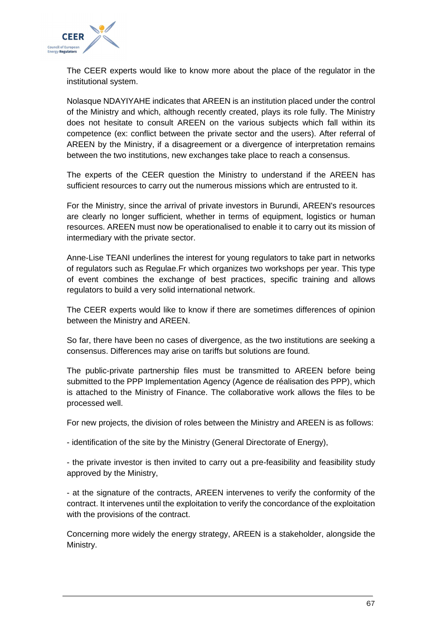

The CEER experts would like to know more about the place of the regulator in the institutional system.

Nolasque NDAYIYAHE indicates that AREEN is an institution placed under the control of the Ministry and which, although recently created, plays its role fully. The Ministry does not hesitate to consult AREEN on the various subjects which fall within its competence (ex: conflict between the private sector and the users). After referral of AREEN by the Ministry, if a disagreement or a divergence of interpretation remains between the two institutions, new exchanges take place to reach a consensus.

The experts of the CEER question the Ministry to understand if the AREEN has sufficient resources to carry out the numerous missions which are entrusted to it.

For the Ministry, since the arrival of private investors in Burundi, AREEN's resources are clearly no longer sufficient, whether in terms of equipment, logistics or human resources. AREEN must now be operationalised to enable it to carry out its mission of intermediary with the private sector.

Anne-Lise TEANI underlines the interest for young regulators to take part in networks of regulators such as Regulae.Fr which organizes two workshops per year. This type of event combines the exchange of best practices, specific training and allows regulators to build a very solid international network.

The CEER experts would like to know if there are sometimes differences of opinion between the Ministry and AREEN.

So far, there have been no cases of divergence, as the two institutions are seeking a consensus. Differences may arise on tariffs but solutions are found.

The public-private partnership files must be transmitted to AREEN before being submitted to the PPP Implementation Agency (Agence de réalisation des PPP), which is attached to the Ministry of Finance. The collaborative work allows the files to be processed well.

For new projects, the division of roles between the Ministry and AREEN is as follows:

- identification of the site by the Ministry (General Directorate of Energy),

- the private investor is then invited to carry out a pre-feasibility and feasibility study approved by the Ministry,

- at the signature of the contracts, AREEN intervenes to verify the conformity of the contract. It intervenes until the exploitation to verify the concordance of the exploitation with the provisions of the contract.

Concerning more widely the energy strategy, AREEN is a stakeholder, alongside the Ministry.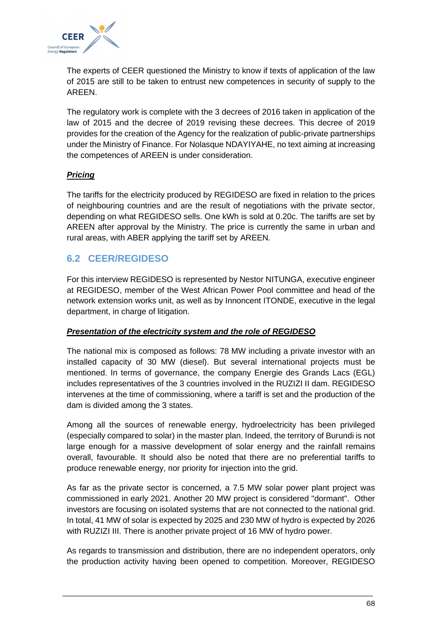

The experts of CEER questioned the Ministry to know if texts of application of the law of 2015 are still to be taken to entrust new competences in security of supply to the AREEN.

The regulatory work is complete with the 3 decrees of 2016 taken in application of the law of 2015 and the decree of 2019 revising these decrees. This decree of 2019 provides for the creation of the Agency for the realization of public-private partnerships under the Ministry of Finance. For Nolasque NDAYIYAHE, no text aiming at increasing the competences of AREEN is under consideration.

# *Pricing*

The tariffs for the electricity produced by REGIDESO are fixed in relation to the prices of neighbouring countries and are the result of negotiations with the private sector, depending on what REGIDESO sells. One kWh is sold at 0.20c. The tariffs are set by AREEN after approval by the Ministry. The price is currently the same in urban and rural areas, with ABER applying the tariff set by AREEN.

# **6.2 CEER/REGIDESO**

For this interview REGIDESO is represented by Nestor NITUNGA, executive engineer at REGIDESO, member of the West African Power Pool committee and head of the network extension works unit, as well as by Innoncent ITONDE, executive in the legal department, in charge of litigation.

# *Presentation of the electricity system and the role of REGIDESO*

The national mix is composed as follows: 78 MW including a private investor with an installed capacity of 30 MW (diesel). But several international projects must be mentioned. In terms of governance, the company Energie des Grands Lacs (EGL) includes representatives of the 3 countries involved in the RUZIZI II dam. REGIDESO intervenes at the time of commissioning, where a tariff is set and the production of the dam is divided among the 3 states.

Among all the sources of renewable energy, hydroelectricity has been privileged (especially compared to solar) in the master plan. Indeed, the territory of Burundi is not large enough for a massive development of solar energy and the rainfall remains overall, favourable. It should also be noted that there are no preferential tariffs to produce renewable energy, nor priority for injection into the grid.

As far as the private sector is concerned, a 7.5 MW solar power plant project was commissioned in early 2021. Another 20 MW project is considered "dormant". Other investors are focusing on isolated systems that are not connected to the national grid. In total, 41 MW of solar is expected by 2025 and 230 MW of hydro is expected by 2026 with RUZIZI III. There is another private project of 16 MW of hydro power.

As regards to transmission and distribution, there are no independent operators, only the production activity having been opened to competition. Moreover, REGIDESO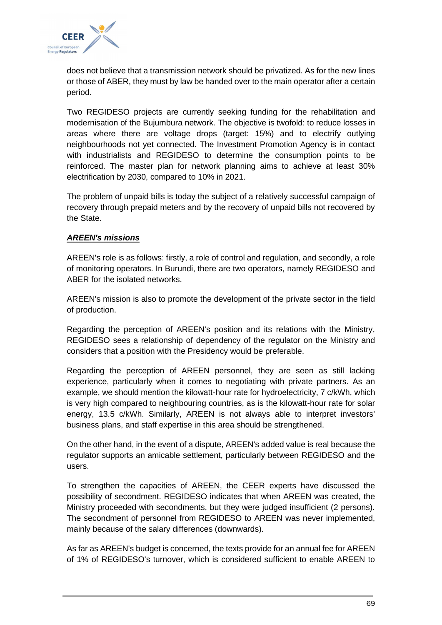

does not believe that a transmission network should be privatized. As for the new lines or those of ABER, they must by law be handed over to the main operator after a certain period.

Two REGIDESO projects are currently seeking funding for the rehabilitation and modernisation of the Bujumbura network. The objective is twofold: to reduce losses in areas where there are voltage drops (target: 15%) and to electrify outlying neighbourhoods not yet connected. The Investment Promotion Agency is in contact with industrialists and REGIDESO to determine the consumption points to be reinforced. The master plan for network planning aims to achieve at least 30% electrification by 2030, compared to 10% in 2021.

The problem of unpaid bills is today the subject of a relatively successful campaign of recovery through prepaid meters and by the recovery of unpaid bills not recovered by the State.

# *AREEN's missions*

AREEN's role is as follows: firstly, a role of control and regulation, and secondly, a role of monitoring operators. In Burundi, there are two operators, namely REGIDESO and ABER for the isolated networks.

AREEN's mission is also to promote the development of the private sector in the field of production.

Regarding the perception of AREEN's position and its relations with the Ministry, REGIDESO sees a relationship of dependency of the regulator on the Ministry and considers that a position with the Presidency would be preferable.

Regarding the perception of AREEN personnel, they are seen as still lacking experience, particularly when it comes to negotiating with private partners. As an example, we should mention the kilowatt-hour rate for hydroelectricity, 7 c/kWh, which is very high compared to neighbouring countries, as is the kilowatt-hour rate for solar energy, 13.5 c/kWh. Similarly, AREEN is not always able to interpret investors' business plans, and staff expertise in this area should be strengthened.

On the other hand, in the event of a dispute, AREEN's added value is real because the regulator supports an amicable settlement, particularly between REGIDESO and the users.

To strengthen the capacities of AREEN, the CEER experts have discussed the possibility of secondment. REGIDESO indicates that when AREEN was created, the Ministry proceeded with secondments, but they were judged insufficient (2 persons). The secondment of personnel from REGIDESO to AREEN was never implemented, mainly because of the salary differences (downwards).

As far as AREEN's budget is concerned, the texts provide for an annual fee for AREEN of 1% of REGIDESO's turnover, which is considered sufficient to enable AREEN to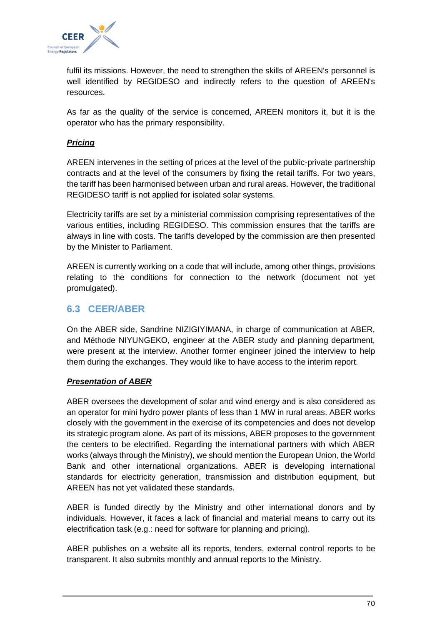

fulfil its missions. However, the need to strengthen the skills of AREEN's personnel is well identified by REGIDESO and indirectly refers to the question of AREEN's resources.

As far as the quality of the service is concerned, AREEN monitors it, but it is the operator who has the primary responsibility.

# *Pricing*

AREEN intervenes in the setting of prices at the level of the public-private partnership contracts and at the level of the consumers by fixing the retail tariffs. For two years, the tariff has been harmonised between urban and rural areas. However, the traditional REGIDESO tariff is not applied for isolated solar systems.

Electricity tariffs are set by a ministerial commission comprising representatives of the various entities, including REGIDESO. This commission ensures that the tariffs are always in line with costs. The tariffs developed by the commission are then presented by the Minister to Parliament.

AREEN is currently working on a code that will include, among other things, provisions relating to the conditions for connection to the network (document not yet promulgated).

# **6.3 CEER/ABER**

On the ABER side, Sandrine NIZIGIYIMANA, in charge of communication at ABER, and Méthode NIYUNGEKO, engineer at the ABER study and planning department, were present at the interview. Another former engineer joined the interview to help them during the exchanges. They would like to have access to the interim report.

#### *Presentation of ABER*

ABER oversees the development of solar and wind energy and is also considered as an operator for mini hydro power plants of less than 1 MW in rural areas. ABER works closely with the government in the exercise of its competencies and does not develop its strategic program alone. As part of its missions, ABER proposes to the government the centers to be electrified. Regarding the international partners with which ABER works (always through the Ministry), we should mention the European Union, the World Bank and other international organizations. ABER is developing international standards for electricity generation, transmission and distribution equipment, but AREEN has not yet validated these standards.

ABER is funded directly by the Ministry and other international donors and by individuals. However, it faces a lack of financial and material means to carry out its electrification task (e.g.: need for software for planning and pricing).

ABER publishes on a website all its reports, tenders, external control reports to be transparent. It also submits monthly and annual reports to the Ministry.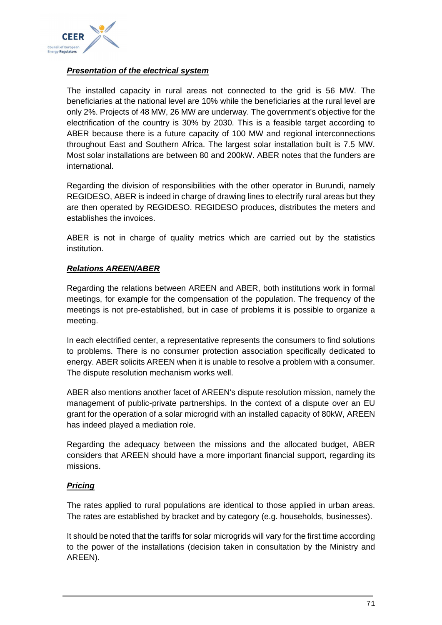

# *Presentation of the electrical system*

The installed capacity in rural areas not connected to the grid is 56 MW. The beneficiaries at the national level are 10% while the beneficiaries at the rural level are only 2%. Projects of 48 MW, 26 MW are underway. The government's objective for the electrification of the country is 30% by 2030. This is a feasible target according to ABER because there is a future capacity of 100 MW and regional interconnections throughout East and Southern Africa. The largest solar installation built is 7.5 MW. Most solar installations are between 80 and 200kW. ABER notes that the funders are international.

Regarding the division of responsibilities with the other operator in Burundi, namely REGIDESO, ABER is indeed in charge of drawing lines to electrify rural areas but they are then operated by REGIDESO. REGIDESO produces, distributes the meters and establishes the invoices.

ABER is not in charge of quality metrics which are carried out by the statistics institution.

# *Relations AREEN/ABER*

Regarding the relations between AREEN and ABER, both institutions work in formal meetings, for example for the compensation of the population. The frequency of the meetings is not pre-established, but in case of problems it is possible to organize a meeting.

In each electrified center, a representative represents the consumers to find solutions to problems. There is no consumer protection association specifically dedicated to energy. ABER solicits AREEN when it is unable to resolve a problem with a consumer. The dispute resolution mechanism works well.

ABER also mentions another facet of AREEN's dispute resolution mission, namely the management of public-private partnerships. In the context of a dispute over an EU grant for the operation of a solar microgrid with an installed capacity of 80kW, AREEN has indeed played a mediation role.

Regarding the adequacy between the missions and the allocated budget, ABER considers that AREEN should have a more important financial support, regarding its missions.

# *Pricing*

The rates applied to rural populations are identical to those applied in urban areas. The rates are established by bracket and by category (e.g. households, businesses).

It should be noted that the tariffs for solar microgrids will vary for the first time according to the power of the installations (decision taken in consultation by the Ministry and AREEN).